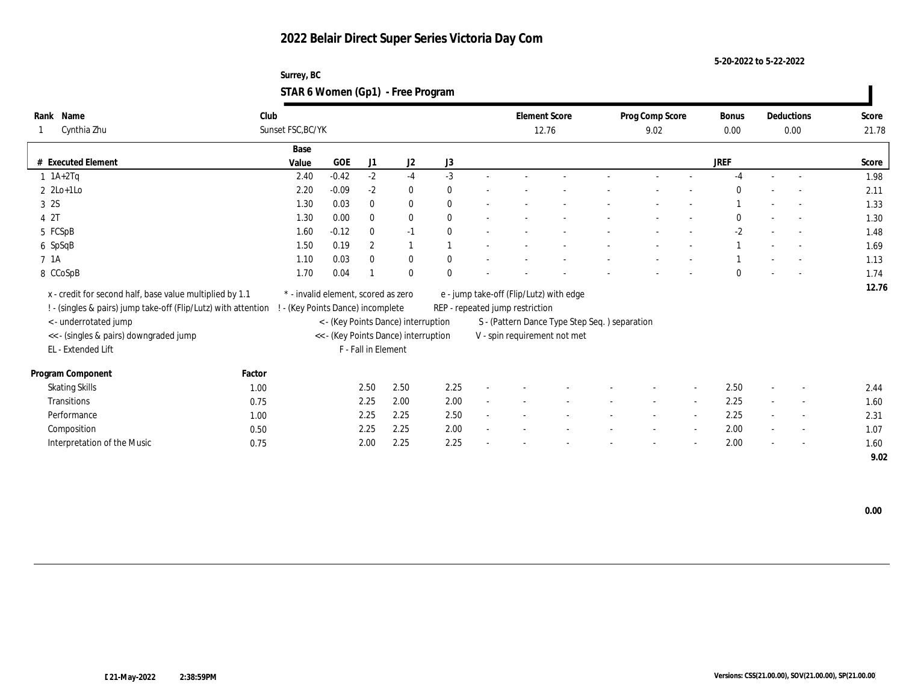**5-20-2022 to 5-22-2022**

| Surrey, BC                        |  |
|-----------------------------------|--|
| STAR 6 Women (Gp1) - Free Program |  |

| Rank Name                                                      | Club   |                                     |            |                     |                                      |              |                                 | <b>Element Score</b>                           | Prog Comp Score |                          | Bonus        |                | Deductions               | Score |
|----------------------------------------------------------------|--------|-------------------------------------|------------|---------------------|--------------------------------------|--------------|---------------------------------|------------------------------------------------|-----------------|--------------------------|--------------|----------------|--------------------------|-------|
| Cynthia Zhu                                                    |        | Sunset FSC, BC/YK                   |            |                     |                                      |              |                                 | 12.76                                          | 9.02            |                          | 0.00         |                | 0.00                     | 21.78 |
|                                                                |        | Base                                |            |                     |                                      |              |                                 |                                                |                 |                          |              |                |                          |       |
| # Executed Element                                             |        | Value                               | <b>GOE</b> | J1                  | J2                                   | J3           |                                 |                                                |                 |                          | <b>JREF</b>  |                |                          | Score |
| $1$ 1A+2Tq                                                     |        | 2.40                                | $-0.42$    | $-2$                | $-4$                                 | $-3$         |                                 |                                                |                 |                          | $-4$         | $\sim$         | $\sim$                   | 1.98  |
| $2 \text{2Lo+1Lo}$                                             |        | 2.20                                | $-0.09$    | $-2$                | $\bf{0}$                             | $\mathbf{0}$ |                                 |                                                |                 |                          | $\Omega$     |                |                          | 2.11  |
| 3 2S                                                           |        | 1.30                                | 0.03       | $\bf{0}$            | $\bf{0}$                             | $\mathbf{0}$ |                                 |                                                |                 |                          |              |                | $\sim$                   | 1.33  |
| 4 2T                                                           |        | 1.30                                | 0.00       | $\bf{0}$            | $\bf{0}$                             | $\mathbf{0}$ |                                 |                                                |                 |                          | $\mathbf{0}$ |                | $\sim$                   | 1.30  |
| 5 FCSpB                                                        |        | 1.60                                | $-0.12$    | $\mathbf{0}$        | $-1$                                 | $\mathbf{0}$ |                                 |                                                |                 |                          | $-2$         |                |                          | 1.48  |
| 6 SpSqB                                                        |        | 1.50                                | 0.19       | $\boldsymbol{2}$    | $\mathbf{1}$                         |              |                                 |                                                |                 |                          |              |                |                          | 1.69  |
| 7 1A                                                           |        | 1.10                                | 0.03       | $\mathbf{0}$        | $\bf{0}$                             | $\mathbf{0}$ |                                 |                                                |                 |                          |              |                |                          | 1.13  |
| 8 CCoSpB                                                       |        | 1.70                                | 0.04       |                     | $\bf{0}$                             | $\mathbf{0}$ |                                 |                                                |                 |                          | $\Omega$     |                |                          | 1.74  |
| x - credit for second half, base value multiplied by 1.1       |        | * - invalid element, scored as zero |            |                     |                                      |              |                                 | e - jump take-off (Flip/Lutz) with edge        |                 |                          |              |                |                          | 12.76 |
| ! - (singles & pairs) jump take-off (Flip/Lutz) with attention |        | - (Key Points Dance) incomplete     |            |                     |                                      |              | REP - repeated jump restriction |                                                |                 |                          |              |                |                          |       |
| <- underrotated jump                                           |        |                                     |            |                     | < - (Key Points Dance) interruption  |              |                                 | S - (Pattern Dance Type Step Seq. ) separation |                 |                          |              |                |                          |       |
| << - (singles & pairs) downgraded jump                         |        |                                     |            |                     | << - (Key Points Dance) interruption |              |                                 | V - spin requirement not met                   |                 |                          |              |                |                          |       |
| EL - Extended Lift                                             |        |                                     |            | F - Fall in Element |                                      |              |                                 |                                                |                 |                          |              |                |                          |       |
|                                                                |        |                                     |            |                     |                                      |              |                                 |                                                |                 |                          |              |                |                          |       |
| Program Component                                              | Factor |                                     |            |                     |                                      |              |                                 |                                                |                 |                          |              |                |                          |       |
| <b>Skating Skills</b>                                          | 1.00   |                                     |            | 2.50                | 2.50                                 | 2.25         |                                 |                                                |                 | $\overline{\phantom{a}}$ | 2.50         | $\overline{a}$ | $\overline{\phantom{a}}$ | 2.44  |
| <b>Transitions</b>                                             | 0.75   |                                     |            | 2.25                | 2.00                                 | 2.00         |                                 |                                                | $\sim$          | $\overline{\phantom{a}}$ | 2.25         | $\sim$         | $\sim$                   | 1.60  |
| Performance                                                    | 1.00   |                                     |            | 2.25                | 2.25                                 | 2.50         |                                 |                                                |                 | $\overline{a}$           | 2.25         |                | $\overline{\phantom{a}}$ | 2.31  |
| Composition                                                    | 0.50   |                                     |            | 2.25                | 2.25                                 | 2.00         |                                 |                                                |                 |                          | 2.00         |                | $\sim$                   | 1.07  |
| Interpretation of the Music                                    | 0.75   |                                     |            | 2.00                | 2.25                                 | 2.25         |                                 |                                                |                 |                          | 2.00         |                | $\overline{\phantom{a}}$ | 1.60  |
|                                                                |        |                                     |            |                     |                                      |              |                                 |                                                |                 |                          |              |                |                          | 9.02  |

 **0.00**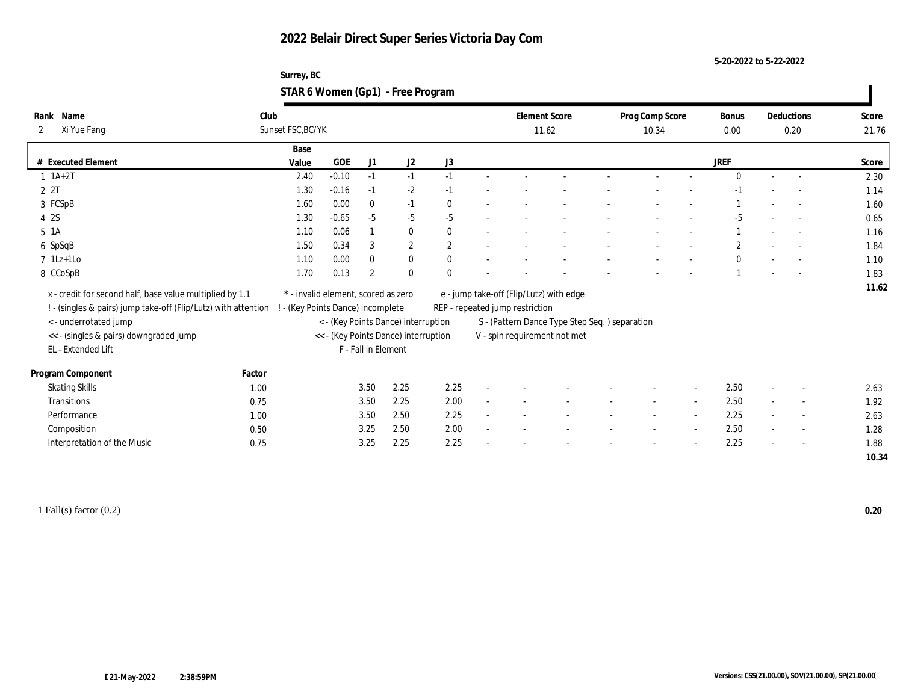**5-20-2022 to 5-22-2022**

| Surrey, BC                        |  |
|-----------------------------------|--|
| STAR 6 Women (Gp1) - Free Program |  |

| Name<br>Rank                                                   | Club   |                                     |            |                     |                                      |              |                                 | <b>Element Score</b>                           | Prog Comp Score |                | <b>Bonus</b>   |                          | Deductions               | Score |
|----------------------------------------------------------------|--------|-------------------------------------|------------|---------------------|--------------------------------------|--------------|---------------------------------|------------------------------------------------|-----------------|----------------|----------------|--------------------------|--------------------------|-------|
| Xi Yue Fang<br>2                                               |        | Sunset FSC, BC/YK                   |            |                     |                                      |              |                                 | 11.62                                          | 10.34           |                | 0.00           |                          | 0.20                     | 21.76 |
|                                                                |        | Base                                |            |                     |                                      |              |                                 |                                                |                 |                |                |                          |                          |       |
| # Executed Element                                             |        | Value                               | <b>GOE</b> | J <sub>1</sub>      | J <sub>2</sub>                       | J3           |                                 |                                                |                 |                | <b>JREF</b>    |                          |                          | Score |
| $1 \t1A+2T$                                                    |        | 2.40                                | $-0.10$    | $-1$                | $-1$                                 | $-1$         |                                 |                                                |                 |                | $\Omega$       | $\sim$                   | $\sim$                   | 2.30  |
| 2 2T                                                           |        | 1.30                                | $-0.16$    | $-1$                | $-2$                                 | $-1$         |                                 |                                                |                 |                |                |                          |                          | 1.14  |
| 3 FCSpB                                                        |        | 1.60                                | 0.00       | $\bf{0}$            | $-1$                                 | $\bf{0}$     |                                 |                                                |                 |                |                |                          |                          | 1.60  |
| 4 2S                                                           |        | 1.30                                | $-0.65$    | $-5$                | $-5$                                 | $-5$         |                                 |                                                |                 |                | $-5$           |                          | $\sim$                   | 0.65  |
| $5\;1A$                                                        |        | 1.10                                | 0.06       |                     | $\bf{0}$                             | $\mathbf{0}$ |                                 |                                                |                 |                |                |                          |                          | 1.16  |
| 6 SpSqB                                                        |        | 1.50                                | 0.34       | 3                   | $\mathbf{2}$                         | $\mathbf{2}$ |                                 |                                                |                 |                | $\overline{c}$ |                          |                          | 1.84  |
| $7$ 1Lz+1Lo                                                    |        | 1.10                                | 0.00       | $\mathbf{0}$        | $\bf{0}$                             | $\mathbf{0}$ |                                 |                                                |                 |                | $\mathbf{0}$   |                          |                          | 1.10  |
| 8 CCoSpB                                                       |        | 1.70                                | 0.13       | $\overline{2}$      | $\mathbf{0}$                         | $\mathbf{0}$ |                                 |                                                |                 |                |                |                          |                          | 1.83  |
| x - credit for second half, base value multiplied by 1.1       |        | * - invalid element, scored as zero |            |                     |                                      |              |                                 | e - jump take-off (Flip/Lutz) with edge        |                 |                |                |                          |                          | 11.62 |
| ! - (singles & pairs) jump take-off (Flip/Lutz) with attention |        | - (Key Points Dance) incomplete     |            |                     |                                      |              | REP - repeated jump restriction |                                                |                 |                |                |                          |                          |       |
| < - underrotated jump                                          |        |                                     |            |                     | < - (Key Points Dance) interruption  |              |                                 | S - (Pattern Dance Type Step Seq. ) separation |                 |                |                |                          |                          |       |
| << - (singles & pairs) downgraded jump                         |        |                                     |            |                     | << - (Key Points Dance) interruption |              |                                 | V - spin requirement not met                   |                 |                |                |                          |                          |       |
| EL - Extended Lift                                             |        |                                     |            | F - Fall in Element |                                      |              |                                 |                                                |                 |                |                |                          |                          |       |
|                                                                |        |                                     |            |                     |                                      |              |                                 |                                                |                 |                |                |                          |                          |       |
| Program Component                                              | Factor |                                     |            |                     |                                      |              |                                 |                                                |                 |                |                |                          |                          |       |
| <b>Skating Skills</b>                                          | 1.00   |                                     |            | 3.50                | 2.25                                 | 2.25         |                                 |                                                |                 | $\sim$         | 2.50           |                          | $\overline{\phantom{a}}$ | 2.63  |
| Transitions                                                    | 0.75   |                                     |            | 3.50                | 2.25                                 | 2.00         |                                 |                                                |                 |                | 2.50           |                          | $\overline{\phantom{a}}$ | 1.92  |
| Performance                                                    | 1.00   |                                     |            | 3.50                | 2.50                                 | 2.25         |                                 |                                                |                 | $\overline{a}$ | 2.25           |                          | $\sim$                   | 2.63  |
| Composition                                                    | 0.50   |                                     |            | 3.25                | 2.50                                 | 2.00         |                                 |                                                |                 |                | 2.50           | $\overline{\phantom{a}}$ | $\overline{\phantom{a}}$ | 1.28  |
| Interpretation of the Music                                    | 0.75   |                                     |            | 3.25                | 2.25                                 | 2.25         |                                 |                                                |                 |                | 2.25           | $\overline{\phantom{a}}$ | $\overline{\phantom{a}}$ | 1.88  |
|                                                                |        |                                     |            |                     |                                      |              |                                 |                                                |                 |                |                |                          |                          | 10.34 |
|                                                                |        |                                     |            |                     |                                      |              |                                 |                                                |                 |                |                |                          |                          |       |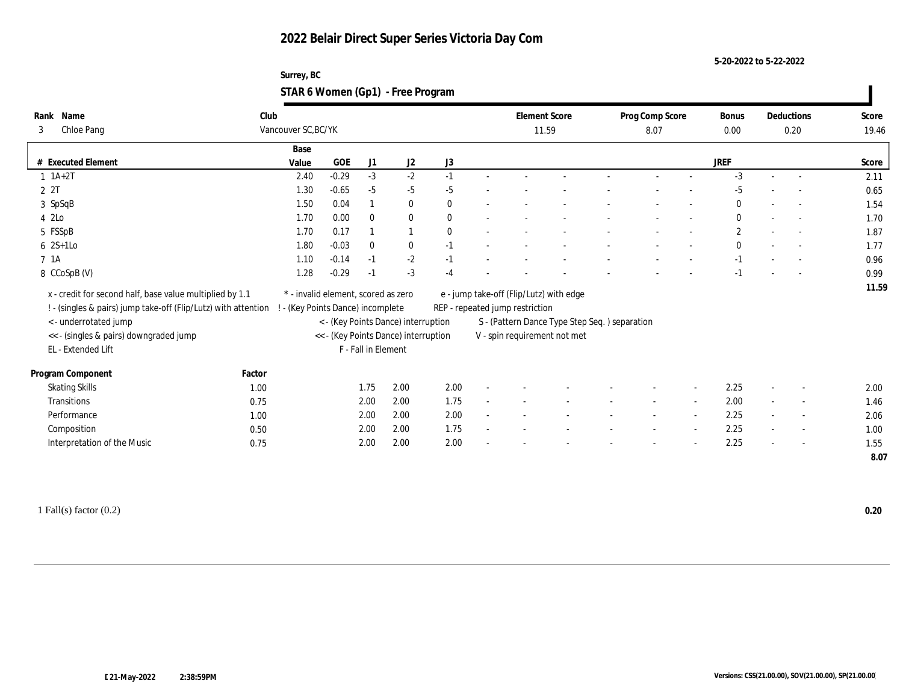**5-20-2022 to 5-22-2022**

| Surrey, BC                        |  |
|-----------------------------------|--|
| STAR 6 Women (Gp1) - Free Program |  |

| Club<br>Name<br><b>Element Score</b><br>Prog Comp Score<br>Deductions<br>Rank<br><b>Bonus</b><br>Score<br>Vancouver SC, BC/YK<br>Chloe Pang<br>3<br>11.59<br>8.07<br>0.00<br>0.20<br>Base<br><b>JREF</b><br><b>GOE</b><br>J <sub>1</sub><br>J2<br>J3<br># Executed Element<br>Value<br>$-3$<br>$-2$<br>$-0.29$<br>$-3$<br>$1 \t1A+2T$<br>2.40<br>$-1$<br>2.11<br>$\sim$<br>$\overline{\phantom{a}}$<br>2 2T<br>1.30<br>$-0.65$<br>$-5$<br>$-5$<br>$-5$<br>$-5$<br>0.65<br>3 SpSqB<br>1.50<br>0.04<br>$\bf{0}$<br>$\mathbf{0}$<br>0<br>1.54<br>4 2Lo<br>1.70<br>0.00<br>$\bf{0}$<br>$\bf{0}$<br>$\bf{0}$<br>$\mathbf{0}$<br>1.70<br>$\sim$<br>$\sim$<br>5 FSSpB<br>$\mathbf{2}$<br>1.70<br>0.17<br>$\bf{0}$<br>1.87<br>$\sim$<br>$6 \quad 2S+1LO$<br>$-0.03$<br>$\bf{0}$<br>$\bf{0}$<br>1.80<br>$\mathbf{0}$<br>$-1$<br>1.77<br>$-2$<br>7 1A<br>1.10<br>$-0.14$<br>$-1$<br>$-1$<br>$-1$<br>0.96<br>1.28<br>$-0.29$<br>$-3$<br>8 CCoSpB (V)<br>$-1$<br>0.99<br>$-1$<br>$-4$<br>x - credit for second half, base value multiplied by 1.1<br>* - invalid element, scored as zero<br>e - jump take-off (Flip/Lutz) with edge<br>! - (singles & pairs) jump take-off (Flip/Lutz) with attention<br>! - (Key Points Dance) incomplete<br>REP - repeated jump restriction<br>S - (Pattern Dance Type Step Seq.) separation<br>< - underrotated jump<br>< - (Key Points Dance) interruption<br><< - (singles & pairs) downgraded jump<br><< - (Key Points Dance) interruption<br>V - spin requirement not met<br>EL - Extended Lift<br>F - Fall in Element<br>Program Component<br>Factor<br>2.00<br>2.00<br>2.25<br><b>Skating Skills</b><br>1.75<br>1.00<br>2.00<br>$\sim$<br>2.00<br>1.75<br>2.00<br>Transitions<br>2.00<br>0.75<br>1.46<br>$\overline{a}$<br>2.00<br>2.00<br>2.25<br>Performance<br>2.00<br>2.06<br>1.00<br>$\sim$<br>1.75<br>Composition<br>2.00<br>2.00<br>2.25<br>0.50<br>1.00<br>$\overline{\phantom{a}}$<br>$\overline{\phantom{a}}$<br>$\sim$<br>$\overline{a}$ |                                                                     | Score |
|----------------------------------------------------------------------------------------------------------------------------------------------------------------------------------------------------------------------------------------------------------------------------------------------------------------------------------------------------------------------------------------------------------------------------------------------------------------------------------------------------------------------------------------------------------------------------------------------------------------------------------------------------------------------------------------------------------------------------------------------------------------------------------------------------------------------------------------------------------------------------------------------------------------------------------------------------------------------------------------------------------------------------------------------------------------------------------------------------------------------------------------------------------------------------------------------------------------------------------------------------------------------------------------------------------------------------------------------------------------------------------------------------------------------------------------------------------------------------------------------------------------------------------------------------------------------------------------------------------------------------------------------------------------------------------------------------------------------------------------------------------------------------------------------------------------------------------------------------------------------------------------------------------------------------------------------------------------------------------|---------------------------------------------------------------------|-------|
|                                                                                                                                                                                                                                                                                                                                                                                                                                                                                                                                                                                                                                                                                                                                                                                                                                                                                                                                                                                                                                                                                                                                                                                                                                                                                                                                                                                                                                                                                                                                                                                                                                                                                                                                                                                                                                                                                                                                                                                  |                                                                     | 19.46 |
|                                                                                                                                                                                                                                                                                                                                                                                                                                                                                                                                                                                                                                                                                                                                                                                                                                                                                                                                                                                                                                                                                                                                                                                                                                                                                                                                                                                                                                                                                                                                                                                                                                                                                                                                                                                                                                                                                                                                                                                  |                                                                     |       |
|                                                                                                                                                                                                                                                                                                                                                                                                                                                                                                                                                                                                                                                                                                                                                                                                                                                                                                                                                                                                                                                                                                                                                                                                                                                                                                                                                                                                                                                                                                                                                                                                                                                                                                                                                                                                                                                                                                                                                                                  |                                                                     |       |
|                                                                                                                                                                                                                                                                                                                                                                                                                                                                                                                                                                                                                                                                                                                                                                                                                                                                                                                                                                                                                                                                                                                                                                                                                                                                                                                                                                                                                                                                                                                                                                                                                                                                                                                                                                                                                                                                                                                                                                                  |                                                                     |       |
|                                                                                                                                                                                                                                                                                                                                                                                                                                                                                                                                                                                                                                                                                                                                                                                                                                                                                                                                                                                                                                                                                                                                                                                                                                                                                                                                                                                                                                                                                                                                                                                                                                                                                                                                                                                                                                                                                                                                                                                  |                                                                     |       |
|                                                                                                                                                                                                                                                                                                                                                                                                                                                                                                                                                                                                                                                                                                                                                                                                                                                                                                                                                                                                                                                                                                                                                                                                                                                                                                                                                                                                                                                                                                                                                                                                                                                                                                                                                                                                                                                                                                                                                                                  |                                                                     |       |
|                                                                                                                                                                                                                                                                                                                                                                                                                                                                                                                                                                                                                                                                                                                                                                                                                                                                                                                                                                                                                                                                                                                                                                                                                                                                                                                                                                                                                                                                                                                                                                                                                                                                                                                                                                                                                                                                                                                                                                                  |                                                                     |       |
|                                                                                                                                                                                                                                                                                                                                                                                                                                                                                                                                                                                                                                                                                                                                                                                                                                                                                                                                                                                                                                                                                                                                                                                                                                                                                                                                                                                                                                                                                                                                                                                                                                                                                                                                                                                                                                                                                                                                                                                  |                                                                     |       |
|                                                                                                                                                                                                                                                                                                                                                                                                                                                                                                                                                                                                                                                                                                                                                                                                                                                                                                                                                                                                                                                                                                                                                                                                                                                                                                                                                                                                                                                                                                                                                                                                                                                                                                                                                                                                                                                                                                                                                                                  |                                                                     |       |
|                                                                                                                                                                                                                                                                                                                                                                                                                                                                                                                                                                                                                                                                                                                                                                                                                                                                                                                                                                                                                                                                                                                                                                                                                                                                                                                                                                                                                                                                                                                                                                                                                                                                                                                                                                                                                                                                                                                                                                                  |                                                                     |       |
|                                                                                                                                                                                                                                                                                                                                                                                                                                                                                                                                                                                                                                                                                                                                                                                                                                                                                                                                                                                                                                                                                                                                                                                                                                                                                                                                                                                                                                                                                                                                                                                                                                                                                                                                                                                                                                                                                                                                                                                  |                                                                     |       |
|                                                                                                                                                                                                                                                                                                                                                                                                                                                                                                                                                                                                                                                                                                                                                                                                                                                                                                                                                                                                                                                                                                                                                                                                                                                                                                                                                                                                                                                                                                                                                                                                                                                                                                                                                                                                                                                                                                                                                                                  |                                                                     |       |
|                                                                                                                                                                                                                                                                                                                                                                                                                                                                                                                                                                                                                                                                                                                                                                                                                                                                                                                                                                                                                                                                                                                                                                                                                                                                                                                                                                                                                                                                                                                                                                                                                                                                                                                                                                                                                                                                                                                                                                                  |                                                                     | 11.59 |
|                                                                                                                                                                                                                                                                                                                                                                                                                                                                                                                                                                                                                                                                                                                                                                                                                                                                                                                                                                                                                                                                                                                                                                                                                                                                                                                                                                                                                                                                                                                                                                                                                                                                                                                                                                                                                                                                                                                                                                                  |                                                                     |       |
|                                                                                                                                                                                                                                                                                                                                                                                                                                                                                                                                                                                                                                                                                                                                                                                                                                                                                                                                                                                                                                                                                                                                                                                                                                                                                                                                                                                                                                                                                                                                                                                                                                                                                                                                                                                                                                                                                                                                                                                  |                                                                     |       |
|                                                                                                                                                                                                                                                                                                                                                                                                                                                                                                                                                                                                                                                                                                                                                                                                                                                                                                                                                                                                                                                                                                                                                                                                                                                                                                                                                                                                                                                                                                                                                                                                                                                                                                                                                                                                                                                                                                                                                                                  |                                                                     |       |
|                                                                                                                                                                                                                                                                                                                                                                                                                                                                                                                                                                                                                                                                                                                                                                                                                                                                                                                                                                                                                                                                                                                                                                                                                                                                                                                                                                                                                                                                                                                                                                                                                                                                                                                                                                                                                                                                                                                                                                                  |                                                                     |       |
|                                                                                                                                                                                                                                                                                                                                                                                                                                                                                                                                                                                                                                                                                                                                                                                                                                                                                                                                                                                                                                                                                                                                                                                                                                                                                                                                                                                                                                                                                                                                                                                                                                                                                                                                                                                                                                                                                                                                                                                  |                                                                     |       |
|                                                                                                                                                                                                                                                                                                                                                                                                                                                                                                                                                                                                                                                                                                                                                                                                                                                                                                                                                                                                                                                                                                                                                                                                                                                                                                                                                                                                                                                                                                                                                                                                                                                                                                                                                                                                                                                                                                                                                                                  |                                                                     |       |
|                                                                                                                                                                                                                                                                                                                                                                                                                                                                                                                                                                                                                                                                                                                                                                                                                                                                                                                                                                                                                                                                                                                                                                                                                                                                                                                                                                                                                                                                                                                                                                                                                                                                                                                                                                                                                                                                                                                                                                                  |                                                                     |       |
|                                                                                                                                                                                                                                                                                                                                                                                                                                                                                                                                                                                                                                                                                                                                                                                                                                                                                                                                                                                                                                                                                                                                                                                                                                                                                                                                                                                                                                                                                                                                                                                                                                                                                                                                                                                                                                                                                                                                                                                  |                                                                     |       |
|                                                                                                                                                                                                                                                                                                                                                                                                                                                                                                                                                                                                                                                                                                                                                                                                                                                                                                                                                                                                                                                                                                                                                                                                                                                                                                                                                                                                                                                                                                                                                                                                                                                                                                                                                                                                                                                                                                                                                                                  |                                                                     |       |
|                                                                                                                                                                                                                                                                                                                                                                                                                                                                                                                                                                                                                                                                                                                                                                                                                                                                                                                                                                                                                                                                                                                                                                                                                                                                                                                                                                                                                                                                                                                                                                                                                                                                                                                                                                                                                                                                                                                                                                                  |                                                                     |       |
|                                                                                                                                                                                                                                                                                                                                                                                                                                                                                                                                                                                                                                                                                                                                                                                                                                                                                                                                                                                                                                                                                                                                                                                                                                                                                                                                                                                                                                                                                                                                                                                                                                                                                                                                                                                                                                                                                                                                                                                  | 2.00<br>2.25<br>Interpretation of the Music<br>2.00<br>0.75<br>2.00 | 1.55  |
|                                                                                                                                                                                                                                                                                                                                                                                                                                                                                                                                                                                                                                                                                                                                                                                                                                                                                                                                                                                                                                                                                                                                                                                                                                                                                                                                                                                                                                                                                                                                                                                                                                                                                                                                                                                                                                                                                                                                                                                  |                                                                     | 8.07  |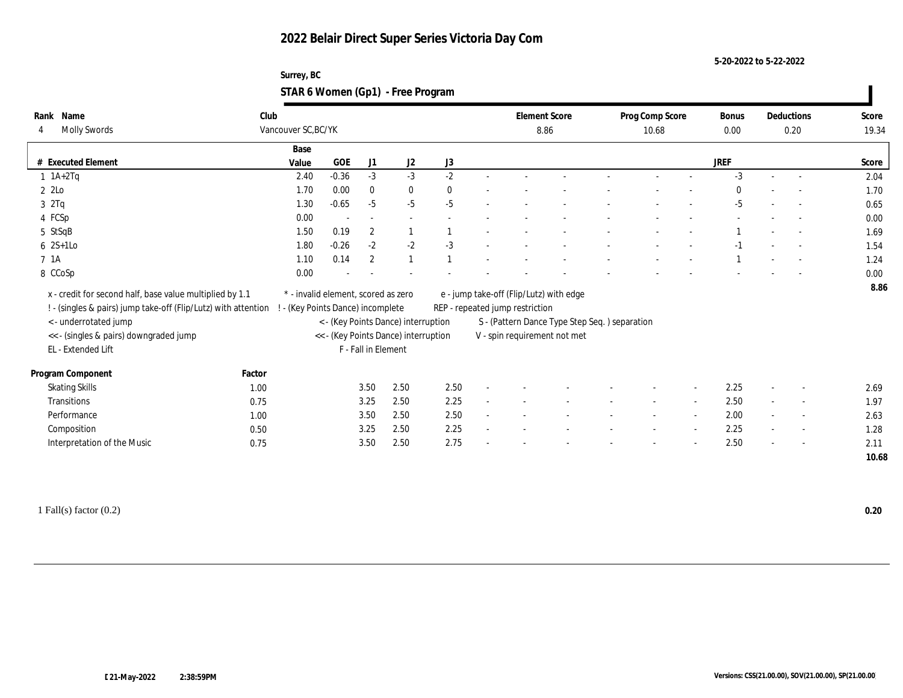**5-20-2022 to 5-22-2022**

| Surrey, BC                        |  |
|-----------------------------------|--|
| STAR 6 Women (Gp1) - Free Program |  |

| Name<br>Rank                                                   | Club   |                                     |         |                     |                                      |          | <b>Element Score</b>                    |                                               | Prog Comp Score | Bonus        |        | Deductions               | Score |
|----------------------------------------------------------------|--------|-------------------------------------|---------|---------------------|--------------------------------------|----------|-----------------------------------------|-----------------------------------------------|-----------------|--------------|--------|--------------------------|-------|
| <b>Molly Swords</b><br>4                                       |        | Vancouver SC, BC/YK                 |         |                     |                                      |          |                                         | 8.86                                          | 10.68           | 0.00         |        | 0.20                     | 19.34 |
|                                                                |        | Base                                |         |                     |                                      |          |                                         |                                               |                 |              |        |                          |       |
| # Executed Element                                             |        | Value                               | GOE     | J1                  | J2                                   | J3       |                                         |                                               |                 | <b>JREF</b>  |        |                          | Score |
| $1$ 1A+2Tq                                                     |        | 2.40                                | $-0.36$ | $-3$                | $-3$                                 | $-2$     |                                         |                                               |                 | $-3$         |        |                          | 2.04  |
| $2$ 2Lo                                                        |        | 1.70                                | 0.00    | $\bf{0}$            | $\bf{0}$                             | $\bf{0}$ |                                         |                                               |                 | $\mathbf{0}$ |        |                          | 1.70  |
| 3 2Tq                                                          |        | 1.30                                | $-0.65$ | $-5$                | $-5$                                 | $-5$     |                                         |                                               |                 | $-5$         |        |                          | 0.65  |
| 4 FCSp                                                         |        | 0.00                                |         |                     |                                      |          |                                         |                                               |                 |              |        |                          | 0.00  |
| 5 StSqB                                                        |        | 1.50                                | 0.19    | $\boldsymbol{2}$    |                                      |          |                                         |                                               |                 |              |        |                          | 1.69  |
| $6 \quad 2S+1LO$                                               |        | 1.80                                | $-0.26$ | $-2$                | $-2$                                 | $-3$     |                                         |                                               |                 | $-1$         |        |                          | 1.54  |
| 7 1A                                                           |        | 1.10                                | 0.14    | $\overline{2}$      | $\mathbf{1}$                         |          |                                         |                                               |                 |              |        |                          | 1.24  |
| 8 CCoSp                                                        |        | 0.00                                |         |                     |                                      |          |                                         |                                               |                 |              |        |                          | 0.00  |
| x - credit for second half, base value multiplied by 1.1       |        | * - invalid element, scored as zero |         |                     |                                      |          | e - jump take-off (Flip/Lutz) with edge |                                               |                 |              |        |                          | 8.86  |
| ! - (singles & pairs) jump take-off (Flip/Lutz) with attention |        | ! - (Key Points Dance) incomplete   |         |                     |                                      |          | REP - repeated jump restriction         |                                               |                 |              |        |                          |       |
| < - underrotated jump                                          |        |                                     |         |                     | < - (Key Points Dance) interruption  |          |                                         | S - (Pattern Dance Type Step Seq.) separation |                 |              |        |                          |       |
| << - (singles & pairs) downgraded jump                         |        |                                     |         |                     | << - (Key Points Dance) interruption |          |                                         | V - spin requirement not met                  |                 |              |        |                          |       |
| EL - Extended Lift                                             |        |                                     |         | F - Fall in Element |                                      |          |                                         |                                               |                 |              |        |                          |       |
|                                                                |        |                                     |         |                     |                                      |          |                                         |                                               |                 |              |        |                          |       |
| Program Component                                              | Factor |                                     |         |                     |                                      |          |                                         |                                               |                 |              |        |                          |       |
| <b>Skating Skills</b>                                          | 1.00   |                                     |         | 3.50                | 2.50                                 | 2.50     |                                         |                                               |                 | 2.25         |        |                          | 2.69  |
| Transitions                                                    | 0.75   |                                     |         | 3.25                | 2.50                                 | 2.25     |                                         |                                               |                 | 2.50         | $\sim$ | $\sim$                   | 1.97  |
| Performance                                                    | 1.00   |                                     |         | 3.50                | 2.50                                 | 2.50     |                                         |                                               |                 | 2.00         | $\sim$ | $\overline{a}$           | 2.63  |
| Composition                                                    | 0.50   |                                     |         | 3.25                | 2.50                                 | 2.25     |                                         |                                               |                 | 2.25         | $\sim$ | $\overline{\phantom{a}}$ | 1.28  |
| Interpretation of the Music                                    | 0.75   |                                     |         | 3.50                | 2.50                                 | 2.75     |                                         |                                               |                 | 2.50         | $\sim$ | $\sim$                   | 2.11  |
|                                                                |        |                                     |         |                     |                                      |          |                                         |                                               |                 |              |        |                          | 10.68 |
|                                                                |        |                                     |         |                     |                                      |          |                                         |                                               |                 |              |        |                          |       |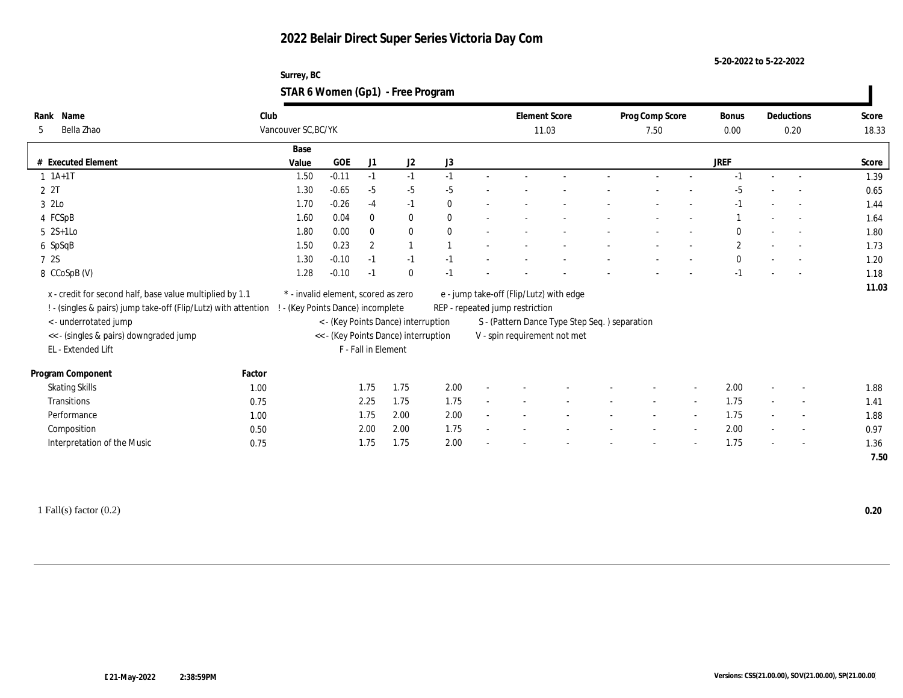**5-20-2022 to 5-22-2022**

| Surrey, BC                        |  |
|-----------------------------------|--|
| STAR 6 Women (Gp1) - Free Program |  |

| Rank Name                                                      | Club   |                                     |         |                     |                                      |              |                                 | <b>Element Score</b>                          | Prog Comp Score |        | <b>Bonus</b>   | Deductions               | Score |
|----------------------------------------------------------------|--------|-------------------------------------|---------|---------------------|--------------------------------------|--------------|---------------------------------|-----------------------------------------------|-----------------|--------|----------------|--------------------------|-------|
| Bella Zhao<br>5                                                |        | Vancouver SC, BC/YK                 |         |                     |                                      |              |                                 | 11.03                                         | 7.50            |        | 0.00           | 0.20                     | 18.33 |
|                                                                |        | Base                                |         |                     |                                      |              |                                 |                                               |                 |        |                |                          |       |
| # Executed Element                                             |        | Value                               | GOE     | J <sub>1</sub>      | J <sub>2</sub>                       | J3           |                                 |                                               |                 |        | JREF           |                          | Score |
| $1 1A+1T$                                                      |        | 1.50                                | $-0.11$ | $-1$                | $-1$                                 | $-1$         |                                 |                                               |                 |        |                |                          | 1.39  |
| 2 2T                                                           |        | 1.30                                | $-0.65$ | $-5$                | $-5$                                 | $-5$         |                                 |                                               |                 |        | $-5$           |                          | 0.65  |
| 3 2Lo                                                          |        | 1.70                                | $-0.26$ | $-4$                | $-1$                                 | $\mathbf{0}$ |                                 |                                               |                 |        | $-1$           | $\overline{\phantom{a}}$ | 1.44  |
| 4 FCSpB                                                        |        | 1.60                                | 0.04    | $\bf{0}$            | $\bf{0}$                             | $\mathbf{0}$ |                                 |                                               |                 |        |                | $\sim$                   | 1.64  |
| $5 \quad 2S+1LO$                                               |        | 1.80                                | 0.00    | $\mathbf{0}$        | $\bf{0}$                             | $\theta$     |                                 |                                               |                 |        | $\theta$       |                          | 1.80  |
| 6 SpSqB                                                        |        | 1.50                                | 0.23    | $\overline{2}$      |                                      |              |                                 |                                               |                 |        | $\overline{c}$ |                          | 1.73  |
| 7 2S                                                           |        | 1.30                                | $-0.10$ | $-1$                | $-1$                                 | $-1$         |                                 |                                               |                 |        | $\mathbf{0}$   |                          | 1.20  |
| 8 CCoSpB (V)                                                   |        | 1.28                                | $-0.10$ | $-1$                | $\bf{0}$                             | $-1$         |                                 |                                               |                 |        | $-1$           |                          | 1.18  |
| x - credit for second half, base value multiplied by 1.1       |        | * - invalid element, scored as zero |         |                     |                                      |              |                                 | e - jump take-off (Flip/Lutz) with edge       |                 |        |                |                          | 11.03 |
| ! - (singles & pairs) jump take-off (Flip/Lutz) with attention |        | ! - (Key Points Dance) incomplete   |         |                     |                                      |              | REP - repeated jump restriction |                                               |                 |        |                |                          |       |
| <- underrotated jump                                           |        |                                     |         |                     | < - (Key Points Dance) interruption  |              |                                 | S - (Pattern Dance Type Step Seq.) separation |                 |        |                |                          |       |
| << - (singles & pairs) downgraded jump                         |        |                                     |         |                     | << - (Key Points Dance) interruption |              |                                 | V - spin requirement not met                  |                 |        |                |                          |       |
| EL - Extended Lift                                             |        |                                     |         | F - Fall in Element |                                      |              |                                 |                                               |                 |        |                |                          |       |
|                                                                |        |                                     |         |                     |                                      |              |                                 |                                               |                 |        |                |                          |       |
| Program Component                                              | Factor |                                     |         |                     |                                      |              |                                 |                                               |                 |        |                |                          |       |
| <b>Skating Skills</b>                                          | 1.00   |                                     |         | 1.75                | 1.75                                 | 2.00         |                                 |                                               |                 |        | 2.00           |                          | 1.88  |
| Transitions                                                    | 0.75   |                                     |         | 2.25                | 1.75                                 | 1.75         |                                 |                                               |                 | $\sim$ | 1.75           | $\overline{\phantom{a}}$ | 1.41  |
| Performance                                                    | 1.00   |                                     |         | 1.75                | 2.00                                 | 2.00         |                                 |                                               |                 |        | 1.75           |                          | 1.88  |
| Composition                                                    | 0.50   |                                     |         | 2.00                | 2.00                                 | 1.75         |                                 |                                               |                 |        | 2.00           | $\sim$                   | 0.97  |
| Interpretation of the Music                                    | 0.75   |                                     |         | 1.75                | 1.75                                 | 2.00         |                                 |                                               |                 |        | 1.75           | $\overline{a}$           | 1.36  |
|                                                                |        |                                     |         |                     |                                      |              |                                 |                                               |                 |        |                |                          | 7.50  |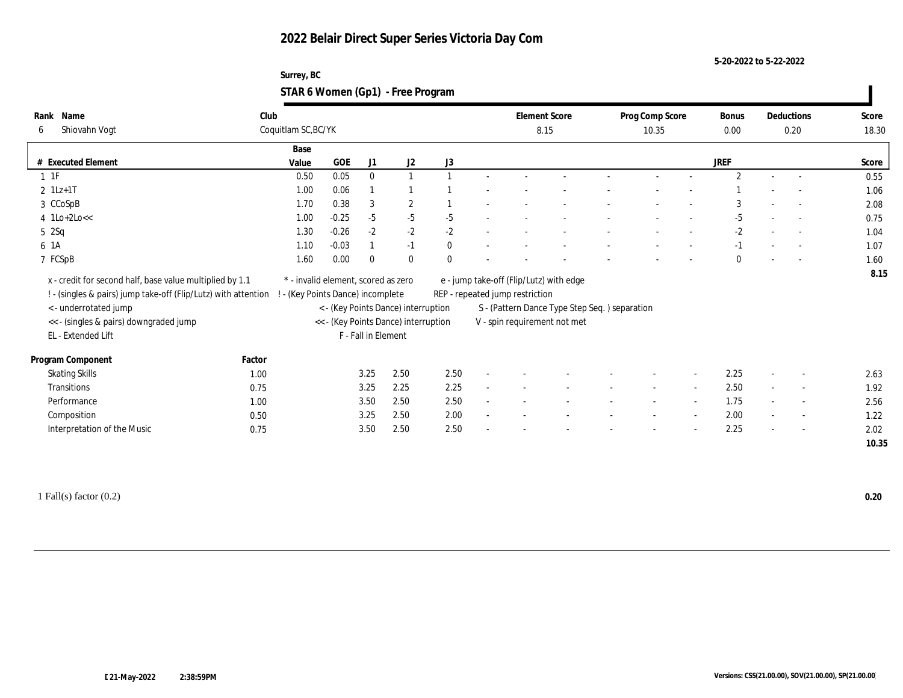#### **5-20-2022 to 5-22-2022**

#### **Surrey, BC STAR 6 Women (Gp1) - Free Program**

| Rank     | Name                                                           | Club                |                                     |                     |                                      |          | <b>Element Score</b>            |                                               | Prog Comp Score          |                          | Bonus          |                          | Deductions               | Score |
|----------|----------------------------------------------------------------|---------------------|-------------------------------------|---------------------|--------------------------------------|----------|---------------------------------|-----------------------------------------------|--------------------------|--------------------------|----------------|--------------------------|--------------------------|-------|
| 6        | Shiovahn Vogt                                                  | Coquitlam SC, BC/YK |                                     |                     |                                      |          | 8.15                            |                                               | 10.35                    |                          | 0.00           |                          | 0.20                     | 18.30 |
|          |                                                                | Base                |                                     |                     |                                      |          |                                 |                                               |                          |                          |                |                          |                          |       |
|          | # Executed Element                                             | Value               | GOE                                 | J1                  | J2                                   | J3       |                                 |                                               |                          |                          | <b>JREF</b>    |                          |                          | Score |
| $1 \t1F$ |                                                                | 0.50                | 0.05                                | $\mathbf{0}$        | $\overline{1}$                       |          |                                 |                                               |                          |                          | $\overline{2}$ |                          |                          | 0.55  |
|          | $2$ 1Lz+1T                                                     | 1.00                | 0.06                                |                     |                                      |          |                                 |                                               |                          |                          |                |                          |                          | 1.06  |
|          | 3 CCoSpB                                                       | 1.70                | 0.38                                | 3                   | $\boldsymbol{2}$                     |          |                                 |                                               |                          |                          | 3              |                          |                          | 2.08  |
|          | $4$ 1Lo+2Lo <<                                                 | 1.00                | $-0.25$                             | $-5$                | $-5$                                 | $-5$     |                                 |                                               |                          |                          | $-5$           |                          |                          | 0.75  |
| 52Sq     |                                                                | 1.30                | $-0.26$                             | $-2$                | $-2$                                 | $-2$     |                                 |                                               | $\overline{\phantom{a}}$ | $\overline{\phantom{a}}$ | $-2$           | $\sim$                   | $\overline{a}$           | 1.04  |
| 6 1A     |                                                                | 1.10                | $-0.03$                             |                     | $-1$                                 | $\theta$ |                                 |                                               |                          |                          | $-1$           |                          |                          | 1.07  |
|          | 7 FCSpB                                                        | 1.60                | 0.00                                | $\Omega$            | $\mathbf{0}$                         | $\theta$ |                                 |                                               | $\overline{\phantom{a}}$ | $\overline{\phantom{a}}$ | $\theta$       | $\overline{\phantom{a}}$ | $\sim$                   | 1.60  |
|          | x - credit for second half, base value multiplied by 1.1       |                     | * - invalid element, scored as zero |                     |                                      |          |                                 | e - jump take-off (Flip/Lutz) with edge       |                          |                          |                |                          |                          | 8.15  |
|          | ! - (singles & pairs) jump take-off (Flip/Lutz) with attention |                     | - (Key Points Dance) incomplete     |                     |                                      |          | REP - repeated jump restriction |                                               |                          |                          |                |                          |                          |       |
|          | < - underrotated jump                                          |                     |                                     |                     | < - (Key Points Dance) interruption  |          |                                 | S - (Pattern Dance Type Step Seq.) separation |                          |                          |                |                          |                          |       |
|          | << - (singles & pairs) downgraded jump                         |                     |                                     |                     | << - (Key Points Dance) interruption |          |                                 | V - spin requirement not met                  |                          |                          |                |                          |                          |       |
|          | EL - Extended Lift                                             |                     |                                     | F - Fall in Element |                                      |          |                                 |                                               |                          |                          |                |                          |                          |       |
|          |                                                                |                     |                                     |                     |                                      |          |                                 |                                               |                          |                          |                |                          |                          |       |
|          | Program Component                                              | Factor              |                                     |                     |                                      |          |                                 |                                               |                          |                          |                |                          |                          |       |
|          | <b>Skating Skills</b>                                          | 1.00                |                                     | 3.25                | 2.50                                 | 2.50     |                                 |                                               |                          | $\sim$                   | 2.25           |                          | $\overline{\phantom{a}}$ | 2.63  |
|          | Transitions                                                    | 0.75                |                                     | 3.25                | 2.25                                 | 2.25     |                                 |                                               | $\overline{\phantom{a}}$ | $\overline{\phantom{a}}$ | 2.50           | $\overline{\phantom{a}}$ | $\overline{\phantom{a}}$ | 1.92  |
|          | Performance                                                    | 1.00                |                                     | 3.50                | 2.50                                 | 2.50     |                                 |                                               |                          | $\sim$                   | 1.75           |                          | $\overline{\phantom{a}}$ | 2.56  |
|          | Composition                                                    | 0.50                |                                     | 3.25                | 2.50                                 | 2.00     |                                 |                                               |                          |                          | 2.00           |                          | $\sim$                   | 1.22  |
|          | Interpretation of the Music                                    | 0.75                |                                     | 3.50                | 2.50                                 | 2.50     |                                 |                                               |                          | $\overline{\phantom{a}}$ | 2.25           | $\overline{\phantom{a}}$ | $\sim$                   | 2.02  |
|          |                                                                |                     |                                     |                     |                                      |          |                                 |                                               |                          |                          |                |                          |                          | 10.35 |

1 Fall(s) factor (0.2) **0.20**

 $\blacksquare$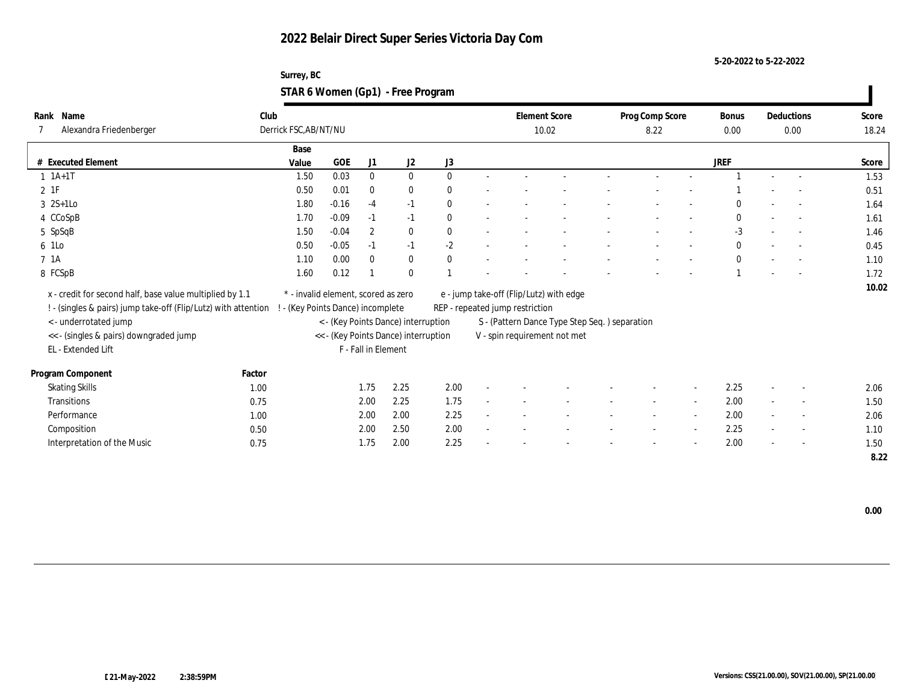**5-20-2022 to 5-22-2022**

### **Surrey, BC STAR 6 Women (Gp1) - Free Program**

| Name<br>Rank                                                   | Club   |                                     |            |                  |                                      |              |        |                                 | <b>Element Score</b>                           | Prog Comp Score |        | <b>Bonus</b> | Deductions               | Score |
|----------------------------------------------------------------|--------|-------------------------------------|------------|------------------|--------------------------------------|--------------|--------|---------------------------------|------------------------------------------------|-----------------|--------|--------------|--------------------------|-------|
| Alexandra Friedenberger                                        |        | Derrick FSC, AB/NT/NU               |            |                  |                                      |              |        |                                 | 10.02                                          | 8.22            |        | 0.00         | 0.00                     | 18.24 |
|                                                                |        | Base                                |            |                  |                                      |              |        |                                 |                                                |                 |        |              |                          |       |
| # Executed Element                                             |        | Value                               | <b>GOE</b> | J1               | $\mathrm{J}2$                        | J3           |        |                                 |                                                |                 |        | <b>JREF</b>  |                          | Score |
| $1 1A+1T$                                                      |        | 1.50                                | 0.03       | $\mathbf{0}$     | $\bf{0}$                             | $\theta$     | $\sim$ |                                 |                                                |                 |        |              | $\overline{\phantom{a}}$ | 1.53  |
| $2$ 1F                                                         |        | 0.50                                | 0.01       | $\bf{0}$         | $\bf{0}$                             | $\theta$     |        |                                 |                                                |                 |        |              |                          | 0.51  |
| $3 \quad 2S+1Lo$                                               |        | 1.80                                | $-0.16$    | $-4$             | $-1$                                 | $\mathbf{0}$ |        |                                 |                                                |                 |        | $\Omega$     |                          | 1.64  |
| 4 CCoSpB                                                       |        | 1.70                                | $-0.09$    | $-1$             | $-1$                                 | $\theta$     |        |                                 |                                                |                 |        | $\mathbf{0}$ | $\sim$                   | 1.61  |
| 5 SpSqB                                                        |        | 1.50                                | $-0.04$    | $\boldsymbol{2}$ | $\bf{0}$                             | $\theta$     |        |                                 |                                                |                 |        | $-3$         | $\overline{\phantom{a}}$ | 1.46  |
| 6 1Lo                                                          |        | 0.50                                | $-0.05$    | $-1$             | $-1$                                 | $-2$         |        |                                 |                                                |                 |        | $\mathbf{0}$ |                          | 0.45  |
| 7 1A                                                           |        | 1.10                                | 0.00       | $\mathbf{0}$     | $\bf{0}$                             | $\mathbf{0}$ |        |                                 |                                                |                 |        | $\mathbf{0}$ |                          | 1.10  |
| 8 FCSpB                                                        |        | 1.60                                | 0.12       |                  | $\mathbf{0}$                         |              |        |                                 |                                                |                 |        |              |                          | 1.72  |
| x - credit for second half, base value multiplied by 1.1       |        | * - invalid element, scored as zero |            |                  |                                      |              |        |                                 | e - jump take-off (Flip/Lutz) with edge        |                 |        |              |                          | 10.02 |
| ! - (singles & pairs) jump take-off (Flip/Lutz) with attention |        | ! - (Key Points Dance) incomplete   |            |                  |                                      |              |        | REP - repeated jump restriction |                                                |                 |        |              |                          |       |
| < - underrotated jump                                          |        |                                     |            |                  | < - (Key Points Dance) interruption  |              |        |                                 | S - (Pattern Dance Type Step Seq. ) separation |                 |        |              |                          |       |
| << - (singles & pairs) downgraded jump                         |        |                                     |            |                  | << - (Key Points Dance) interruption |              |        |                                 | V - spin requirement not met                   |                 |        |              |                          |       |
| EL - Extended Lift                                             |        |                                     |            |                  | F - Fall in Element                  |              |        |                                 |                                                |                 |        |              |                          |       |
|                                                                |        |                                     |            |                  |                                      |              |        |                                 |                                                |                 |        |              |                          |       |
| Program Component                                              | Factor |                                     |            |                  |                                      |              |        |                                 |                                                |                 |        |              |                          |       |
| <b>Skating Skills</b>                                          | 1.00   |                                     |            | 1.75             | 2.25                                 | 2.00         |        |                                 |                                                |                 |        | 2.25         |                          | 2.06  |
| Transitions                                                    | 0.75   |                                     |            | 2.00             | 2.25                                 | 1.75         |        |                                 |                                                |                 | $\sim$ | 2.00         | $\overline{\phantom{a}}$ | 1.50  |
| Performance                                                    | 1.00   |                                     |            | 2.00             | 2.00                                 | 2.25         |        |                                 |                                                |                 |        | 2.00         | $\overline{\phantom{a}}$ | 2.06  |
| Composition                                                    | 0.50   |                                     |            | 2.00             | 2.50                                 | 2.00         |        |                                 |                                                |                 |        | 2.25         | $\sim$                   | 1.10  |
| Interpretation of the Music                                    | 0.75   |                                     |            | 1.75             | 2.00                                 | 2.25         |        |                                 |                                                |                 |        | 2.00         | $\overline{a}$           | 1.50  |
|                                                                |        |                                     |            |                  |                                      |              |        |                                 |                                                |                 |        |              |                          | 8.22  |

 **0.00**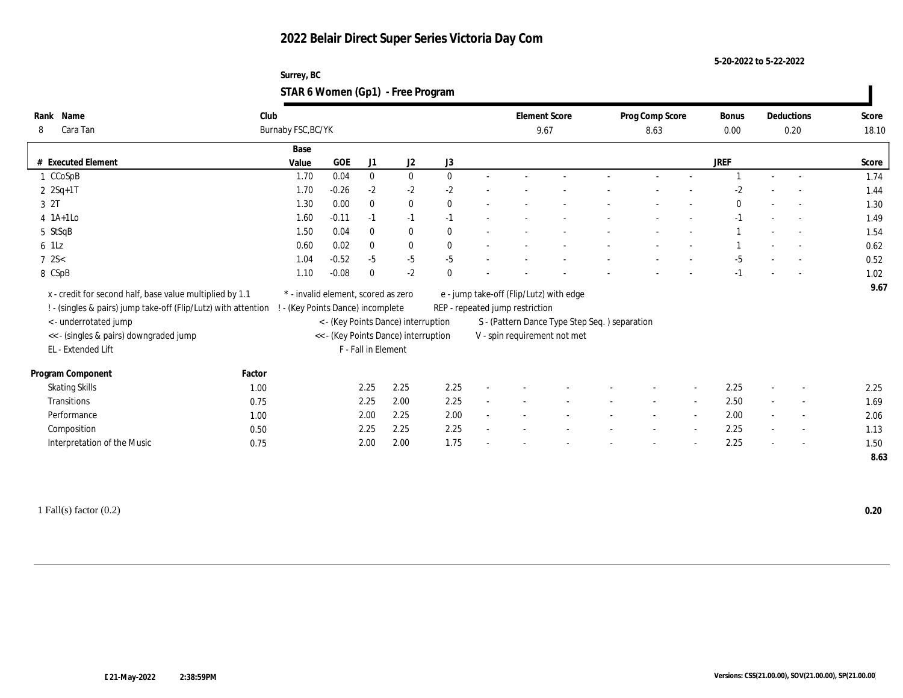**5-20-2022 to 5-22-2022**

| Surrey, BC                        |  |
|-----------------------------------|--|
| STAR 6 Women (Gp1) - Free Program |  |

| Name<br>Rank                                                   | Club   |                                     |            |                     |                                      |              |                                                | <b>Element Score</b> | Prog Comp Score |                          | <b>Bonus</b> |                          | Deductions               | Score |
|----------------------------------------------------------------|--------|-------------------------------------|------------|---------------------|--------------------------------------|--------------|------------------------------------------------|----------------------|-----------------|--------------------------|--------------|--------------------------|--------------------------|-------|
| Cara Tan<br>8                                                  |        | Burnaby FSC, BC/YK                  |            |                     |                                      |              |                                                | 9.67                 | 8.63            |                          | 0.00         | 0.20                     | 18.10                    |       |
|                                                                |        | Base                                |            |                     |                                      |              |                                                |                      |                 |                          |              |                          |                          |       |
| # Executed Element                                             |        | Value                               | <b>GOE</b> | J1                  | J2                                   | J3           |                                                |                      |                 |                          | JREF         |                          |                          | Score |
| 1 CCoSpB                                                       |        | 1.70                                | 0.04       | $\mathbf{0}$        | $\bf{0}$                             | $\theta$     |                                                |                      |                 |                          |              |                          |                          | 1.74  |
| $2 \t2Sq+1T$                                                   |        | 1.70                                | $-0.26$    | $-2$                | $-2$                                 | $-2$         |                                                |                      |                 |                          | $-2$         |                          |                          | 1.44  |
| 3 2T                                                           |        | 1.30                                | 0.00       | $\mathbf{0}$        | $\bf{0}$                             | $\mathbf{0}$ |                                                |                      |                 |                          | $\mathbf{0}$ |                          | $\sim$                   | 1.30  |
| $4$ 1A+1Lo                                                     |        | 1.60                                | $-0.11$    | $-1$                | $-1$                                 | $-1$         |                                                |                      |                 |                          | $-1$         |                          | $\sim$                   | 1.49  |
| 5 StSqB                                                        |        | 1.50                                | 0.04       | $\mathbf{0}$        | $\mathbf{0}$                         | $\mathbf{0}$ |                                                |                      |                 |                          |              |                          |                          | 1.54  |
| 6 1Lz                                                          |        | 0.60                                | 0.02       | $\mathbf{0}$        | $\bf{0}$                             | $\theta$     |                                                |                      |                 |                          |              |                          |                          | 0.62  |
| $7 \, 2S <$                                                    |        | 1.04                                | $-0.52$    | $-5$                | $-5$                                 | $-5$         |                                                |                      |                 |                          | $-5$         |                          |                          | 0.52  |
| 8 CSpB                                                         |        | 1.10                                | $-0.08$    | $\bf{0}$            | $-2$                                 | $\theta$     |                                                |                      |                 |                          | $-1$         |                          |                          | 1.02  |
| x - credit for second half, base value multiplied by 1.1       |        | * - invalid element, scored as zero |            |                     |                                      |              | e - jump take-off (Flip/Lutz) with edge        |                      |                 |                          |              |                          |                          | 9.67  |
| ! - (singles & pairs) jump take-off (Flip/Lutz) with attention |        | ! - (Key Points Dance) incomplete   |            |                     |                                      |              | REP - repeated jump restriction                |                      |                 |                          |              |                          |                          |       |
| <- underrotated jump                                           |        |                                     |            |                     | < - (Key Points Dance) interruption  |              | S - (Pattern Dance Type Step Seq. ) separation |                      |                 |                          |              |                          |                          |       |
|                                                                |        |                                     |            |                     | << - (Key Points Dance) interruption |              |                                                |                      |                 |                          |              |                          |                          |       |
| << - (singles & pairs) downgraded jump<br>EL - Extended Lift   |        |                                     |            | F - Fall in Element |                                      |              | V - spin requirement not met                   |                      |                 |                          |              |                          |                          |       |
|                                                                |        |                                     |            |                     |                                      |              |                                                |                      |                 |                          |              |                          |                          |       |
| Program Component                                              | Factor |                                     |            |                     |                                      |              |                                                |                      |                 |                          |              |                          |                          |       |
| <b>Skating Skills</b>                                          | 1.00   |                                     |            | 2.25                | 2.25                                 | 2.25         |                                                |                      |                 | $\sim$                   | 2.25         |                          | $\overline{\phantom{a}}$ | 2.25  |
| Transitions                                                    | 0.75   |                                     |            | 2.25                | 2.00                                 | 2.25         |                                                |                      |                 | $\sim$                   | 2.50         |                          | $\overline{\phantom{a}}$ | 1.69  |
| Performance                                                    | 1.00   |                                     |            | 2.00                | 2.25                                 | 2.00         |                                                |                      |                 | $\sim$                   | 2.00         |                          | $\overline{\phantom{a}}$ | 2.06  |
| Composition                                                    | 0.50   |                                     |            | 2.25                | 2.25                                 | 2.25         |                                                |                      |                 | $\overline{\phantom{a}}$ | 2.25         | $\sim$                   | $\overline{\phantom{a}}$ | 1.13  |
| Interpretation of the Music                                    | 0.75   |                                     |            | 2.00                | 2.00                                 | 1.75         |                                                |                      |                 |                          | 2.25         | $\overline{\phantom{a}}$ | $\sim$                   | 1.50  |
|                                                                |        |                                     |            |                     |                                      |              |                                                |                      |                 |                          |              |                          |                          | 8.63  |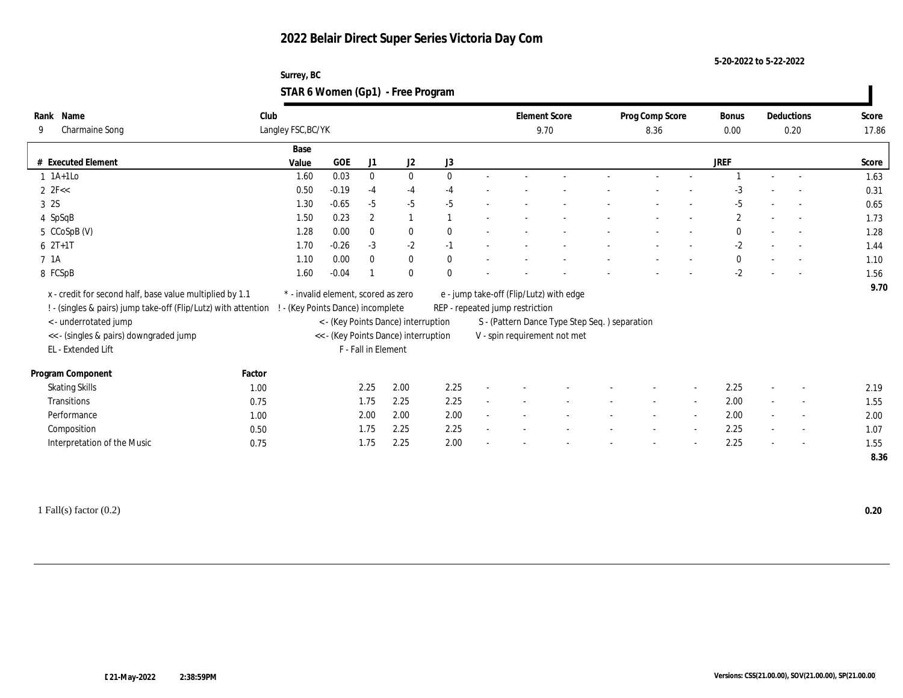**5-20-2022 to 5-22-2022**

| Surrey, BC                        |  |
|-----------------------------------|--|
| STAR 6 Women (Gp1) - Free Program |  |

| Name<br>Rank                                                   | Club                            |                                     |                     |                                      |              |                                         | <b>Element Score</b>                          | Prog Comp Score | <b>Bonus</b> |        | Deductions     | Score |
|----------------------------------------------------------------|---------------------------------|-------------------------------------|---------------------|--------------------------------------|--------------|-----------------------------------------|-----------------------------------------------|-----------------|--------------|--------|----------------|-------|
| <b>Charmaine Song</b><br>9                                     | Langley FSC, BC/YK              |                                     |                     |                                      |              |                                         | 9.70                                          | 8.36            | 0.00         | 0.20   |                | 17.86 |
|                                                                | Base                            |                                     |                     |                                      |              |                                         |                                               |                 |              |        |                |       |
| # Executed Element                                             | Value                           | GOE                                 | J1                  | J2                                   | J3           |                                         |                                               |                 | <b>JREF</b>  |        |                | Score |
| $1$ 1A+1Lo                                                     | 1.60                            | 0.03                                | $\mathbf{0}$        | $\bf{0}$                             | $\mathbf{0}$ |                                         |                                               |                 |              |        |                | 1.63  |
| 2 $2F <$                                                       | 0.50                            | $-0.19$                             | $-4$                | $-4$                                 | $-4$         |                                         |                                               |                 | $-3$         |        |                | 0.31  |
| 3 2S                                                           | 1.30                            | $-0.65$                             | $-5$                | $-5$                                 | $-5$         |                                         |                                               |                 | $-5$         |        |                | 0.65  |
| 4 SpSqB                                                        | 1.50                            | 0.23                                | $\boldsymbol{2}$    | $\overline{1}$                       |              |                                         |                                               |                 | $\mathbf{2}$ | $\sim$ | $\sim$         | 1.73  |
| 5 CCoSpB (V)                                                   | 1.28                            | 0.00                                | $\bf{0}$            | $\bf{0}$                             | $\mathbf{0}$ |                                         |                                               |                 | $\bf{0}$     |        | $\sim$         | 1.28  |
| $6 2T+1T$                                                      | 1.70                            | $-0.26$                             | $-3$                | $-2$                                 | $-1$         |                                         |                                               |                 | $-2$         |        |                | 1.44  |
| 7 1A                                                           | 1.10                            | 0.00                                | $\bf{0}$            | $\bf{0}$                             | $\mathbf{0}$ |                                         |                                               |                 | $\bf{0}$     | $\sim$ |                | 1.10  |
| 8 FCSpB                                                        | 1.60                            | $-0.04$                             |                     | $\bf{0}$                             | $\Omega$     |                                         |                                               |                 | $-2$         |        |                | 1.56  |
| x - credit for second half, base value multiplied by 1.1       |                                 | * - invalid element, scored as zero |                     |                                      |              | e - jump take-off (Flip/Lutz) with edge |                                               |                 |              |        |                | 9.70  |
| ! - (singles & pairs) jump take-off (Flip/Lutz) with attention | - (Key Points Dance) incomplete |                                     |                     |                                      |              | REP - repeated jump restriction         |                                               |                 |              |        |                |       |
| <- underrotated jump                                           |                                 |                                     |                     | < - (Key Points Dance) interruption  |              |                                         | S - (Pattern Dance Type Step Seq.) separation |                 |              |        |                |       |
| << - (singles & pairs) downgraded jump                         |                                 |                                     |                     | << - (Key Points Dance) interruption |              |                                         | V - spin requirement not met                  |                 |              |        |                |       |
| EL - Extended Lift                                             |                                 |                                     | F - Fall in Element |                                      |              |                                         |                                               |                 |              |        |                |       |
|                                                                |                                 |                                     |                     |                                      |              |                                         |                                               |                 |              |        |                |       |
| Program Component                                              | Factor                          |                                     |                     |                                      |              |                                         |                                               |                 |              |        |                |       |
| <b>Skating Skills</b>                                          | 1.00                            |                                     | 2.25                | 2.00                                 | 2.25         |                                         |                                               |                 | 2.25         |        |                | 2.19  |
| <b>Transitions</b>                                             | 0.75                            |                                     | 1.75                | 2.25                                 | 2.25         |                                         |                                               |                 | 2.00         | $\sim$ | $\overline{a}$ | 1.55  |
| Performance                                                    | 1.00                            |                                     | 2.00                | 2.00                                 | 2.00         |                                         |                                               |                 | 2.00         | $\sim$ | $\overline{a}$ | 2.00  |
| Composition                                                    | 0.50                            |                                     | 1.75                | 2.25                                 | 2.25         |                                         |                                               |                 | 2.25         | $\sim$ | $\sim$         | 1.07  |
| Interpretation of the Music                                    | 0.75                            |                                     | 1.75                | 2.25                                 | 2.00         |                                         |                                               |                 | 2.25         | $\sim$ | $\sim$         | 1.55  |
|                                                                |                                 |                                     |                     |                                      |              |                                         |                                               |                 |              |        |                | 8.36  |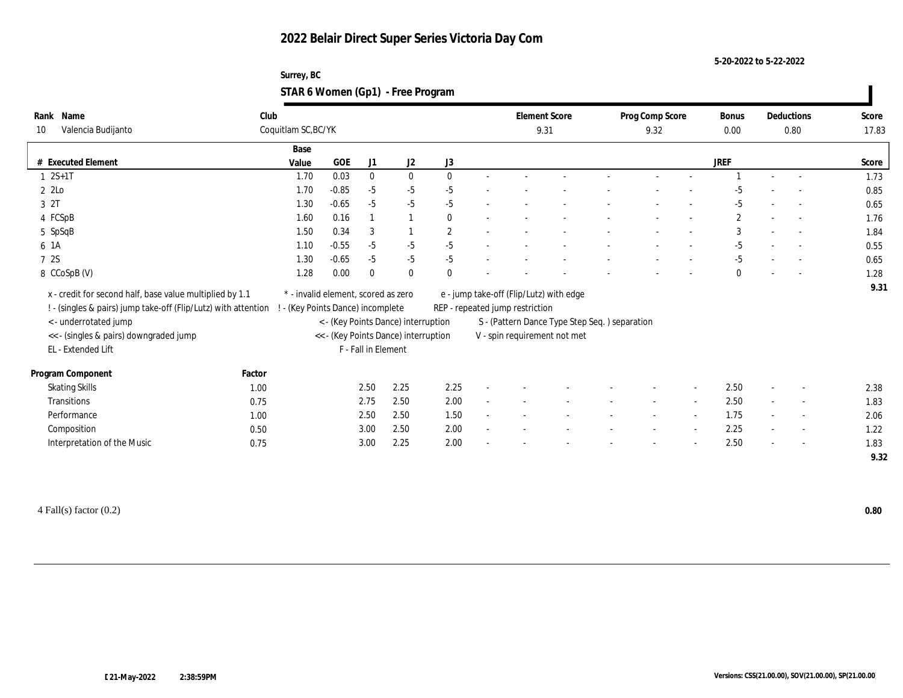**5-20-2022 to 5-22-2022**

#### **Surrey, BC STAR 6 Women (Gp1) - Free Program**

| Name<br>Rank                                                   | Club                            |                                     |                     |                                      |              |                                 | <b>Element Score</b>                          | Prog Comp Score |                          | Bonus          |                          | Deductions               | Score |
|----------------------------------------------------------------|---------------------------------|-------------------------------------|---------------------|--------------------------------------|--------------|---------------------------------|-----------------------------------------------|-----------------|--------------------------|----------------|--------------------------|--------------------------|-------|
| Valencia Budijanto<br>10                                       | Coquitlam SC, BC/YK             |                                     |                     |                                      |              |                                 | 9.31                                          | 9.32            |                          | 0.00           |                          | 0.80                     | 17.83 |
|                                                                | Base                            |                                     |                     |                                      |              |                                 |                                               |                 |                          |                |                          |                          |       |
| # Executed Element                                             | Value                           | GOE                                 | J1                  | J2                                   | J3           |                                 |                                               |                 |                          | JREF           |                          |                          | Score |
| $1 \t 2S+1T$                                                   | 1.70                            | 0.03                                | $\bf{0}$            | $\bf{0}$                             | $\mathbf{0}$ |                                 |                                               |                 |                          |                |                          |                          | 1.73  |
| 2 2Lo                                                          | 1.70                            | $-0.85$                             | $-5$                | $-5$                                 | $-5$         |                                 |                                               |                 |                          | -5             |                          |                          | 0.85  |
| 3 2T                                                           | 1.30                            | $-0.65$                             | $-5$                | $-5$                                 | $-5$         |                                 |                                               |                 |                          | $-5$           |                          |                          | 0.65  |
| 4 FCSpB                                                        | 1.60                            | 0.16                                |                     |                                      | $\mathbf{0}$ |                                 |                                               |                 |                          | $\overline{c}$ |                          | $\sim$                   | 1.76  |
| 5 SpSqB                                                        | 1.50                            | 0.34                                | 3                   |                                      | $\mathbf{2}$ |                                 |                                               |                 |                          | 3              |                          |                          | 1.84  |
| 6 1A                                                           | 1.10                            | $-0.55$                             | $-5$                | $-5$                                 | $-5$         |                                 |                                               |                 |                          | $-5$           |                          |                          | 0.55  |
| 7 2S                                                           | 1.30                            | $-0.65$                             | $-5$                | $-5$                                 | $-5$         |                                 |                                               |                 |                          | $-5$           |                          |                          | 0.65  |
| 8 CCoSpB (V)                                                   | 1.28                            | 0.00                                | $\mathbf{0}$        | $\bf{0}$                             | $\mathbf{0}$ |                                 |                                               |                 |                          | $\mathbf{0}$   |                          |                          | 1.28  |
| x - credit for second half, base value multiplied by 1.1       |                                 | * - invalid element, scored as zero |                     |                                      |              |                                 | e - jump take-off (Flip/Lutz) with edge       |                 |                          |                |                          |                          | 9.31  |
| ! - (singles & pairs) jump take-off (Flip/Lutz) with attention | - (Key Points Dance) incomplete |                                     |                     |                                      |              | REP - repeated jump restriction |                                               |                 |                          |                |                          |                          |       |
| <- underrotated jump                                           |                                 |                                     |                     | < - (Key Points Dance) interruption  |              |                                 | S - (Pattern Dance Type Step Seq.) separation |                 |                          |                |                          |                          |       |
| << - (singles & pairs) downgraded jump                         |                                 |                                     |                     | << - (Key Points Dance) interruption |              |                                 | V - spin requirement not met                  |                 |                          |                |                          |                          |       |
| EL - Extended Lift                                             |                                 |                                     | F - Fall in Element |                                      |              |                                 |                                               |                 |                          |                |                          |                          |       |
|                                                                |                                 |                                     |                     |                                      |              |                                 |                                               |                 |                          |                |                          |                          |       |
| Factor<br>Program Component                                    |                                 |                                     |                     |                                      |              |                                 |                                               |                 |                          |                |                          |                          |       |
| <b>Skating Skills</b><br>1.00                                  |                                 |                                     | 2.50                | 2.25                                 | 2.25         |                                 |                                               |                 |                          | 2.50           |                          |                          | 2.38  |
| <b>Transitions</b><br>0.75                                     |                                 |                                     | 2.75                | 2.50                                 | 2.00         |                                 |                                               |                 | $\overline{a}$           | 2.50           | $\sim$                   | $\overline{\phantom{a}}$ | 1.83  |
| Performance<br>1.00                                            |                                 |                                     | 2.50                | 2.50                                 | 1.50         |                                 |                                               |                 | $\overline{\phantom{a}}$ | 1.75           | $\sim$                   | $\sim$                   | 2.06  |
| Composition<br>0.50                                            |                                 |                                     | 3.00                | 2.50                                 | 2.00         |                                 |                                               |                 |                          | 2.25           | $\overline{\phantom{a}}$ | $\overline{\phantom{a}}$ | 1.22  |
| Interpretation of the Music<br>0.75                            |                                 |                                     | 3.00                | 2.25                                 | 2.00         |                                 |                                               |                 |                          | 2.50           | $\overline{\phantom{a}}$ | $\sim$                   | 1.83  |
|                                                                |                                 |                                     |                     |                                      |              |                                 |                                               |                 |                          |                |                          |                          | 9.32  |

4 Fall(s) factor (0.2) **0.80**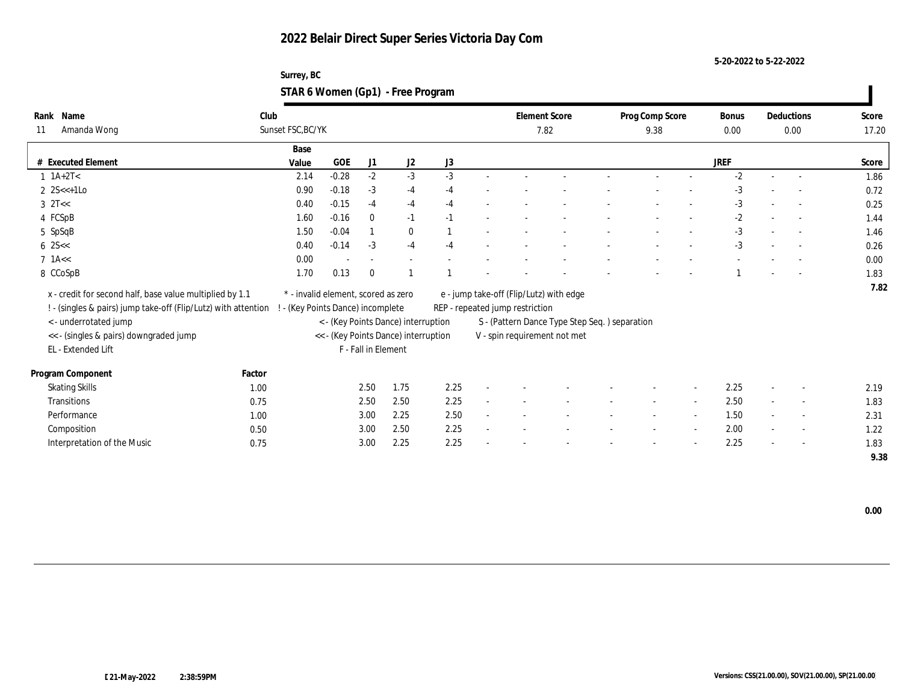**5-20-2022 to 5-22-2022**

### **Surrey, BC STAR 6 Women (Gp1) - Free Program**

|    | Rank Name                                                      | Club                                |            |                     |                                      |      |                                               | <b>Element Score</b> |  | Prog Comp Score |        | Bonus       |        | Deductions               | Score |
|----|----------------------------------------------------------------|-------------------------------------|------------|---------------------|--------------------------------------|------|-----------------------------------------------|----------------------|--|-----------------|--------|-------------|--------|--------------------------|-------|
| 11 | Amanda Wong                                                    | Sunset FSC, BC/YK                   |            |                     |                                      |      |                                               | 7.82                 |  | 9.38            |        | 0.00        |        | 0.00                     | 17.20 |
|    |                                                                | Base                                |            |                     |                                      |      |                                               |                      |  |                 |        |             |        |                          |       |
|    | # Executed Element                                             | Value                               | <b>GOE</b> | J1                  | J2                                   | J3   |                                               |                      |  |                 |        | <b>JREF</b> |        |                          | Score |
|    | $1 \ 1A+2T2$                                                   | 2.14                                | $-0.28$    | $-2$                | $-3$                                 | $-3$ |                                               |                      |  |                 |        | $-2$        |        |                          | 1.86  |
|    | 2 $2S \leq t+1$ Lo                                             | 0.90                                | $-0.18$    | $-3$                | $-4$                                 | $-4$ |                                               |                      |  |                 |        | $-3$        |        |                          | 0.72  |
|    | $3 \text{ }2T<<$                                               | 0.40                                | $-0.15$    | $-4$                | $-4$                                 | $-4$ |                                               |                      |  |                 |        | $-3$        |        |                          | 0.25  |
|    | 4 FCSpB                                                        | 1.60                                | $-0.16$    | $\mathbf{0}$        | $-1$                                 | $-1$ |                                               |                      |  |                 |        | $-2$        |        |                          | 1.44  |
|    | 5 SpSqB                                                        | 1.50                                | $-0.04$    |                     | $\bf{0}$                             |      |                                               |                      |  |                 |        | $-3$        |        | $\sim$                   | 1.46  |
|    | $6 \, 25 <$                                                    | 0.40                                | $-0.14$    | $-3$                | $-4$                                 | $-4$ |                                               |                      |  |                 |        | $-3$        |        | $\sim$                   | 0.26  |
|    | $7$ 1A $<$                                                     | 0.00                                |            |                     |                                      |      |                                               |                      |  |                 |        |             |        |                          | 0.00  |
|    | 8 CCoSpB                                                       | 1.70                                | 0.13       | $\theta$            |                                      |      |                                               |                      |  |                 |        |             |        |                          | 1.83  |
|    | x - credit for second half, base value multiplied by 1.1       | * - invalid element, scored as zero |            |                     |                                      |      | e - jump take-off (Flip/Lutz) with edge       |                      |  |                 |        |             |        |                          | 7.82  |
|    | ! - (singles & pairs) jump take-off (Flip/Lutz) with attention | - (Key Points Dance) incomplete     |            |                     |                                      |      | REP - repeated jump restriction               |                      |  |                 |        |             |        |                          |       |
|    | <- underrotated jump                                           |                                     |            |                     | < - (Key Points Dance) interruption  |      | S - (Pattern Dance Type Step Seq.) separation |                      |  |                 |        |             |        |                          |       |
|    | << - (singles & pairs) downgraded jump                         |                                     |            |                     | << - (Key Points Dance) interruption |      | V - spin requirement not met                  |                      |  |                 |        |             |        |                          |       |
|    | EL - Extended Lift                                             |                                     |            | F - Fall in Element |                                      |      |                                               |                      |  |                 |        |             |        |                          |       |
|    |                                                                |                                     |            |                     |                                      |      |                                               |                      |  |                 |        |             |        |                          |       |
|    | Program Component                                              | Factor                              |            |                     |                                      |      |                                               |                      |  |                 |        |             |        |                          |       |
|    | <b>Skating Skills</b>                                          | 1.00                                |            | 2.50                | 1.75                                 | 2.25 |                                               |                      |  |                 | $\sim$ | 2.25        |        | $\overline{\phantom{a}}$ | 2.19  |
|    | Transitions                                                    | 0.75                                |            | 2.50                | 2.50                                 | 2.25 |                                               |                      |  | $\sim$          | $\sim$ | 2.50        | $\sim$ | $\sim$                   | 1.83  |
|    | Performance                                                    | 1.00                                |            | 3.00                | 2.25                                 | 2.50 |                                               |                      |  |                 | $\sim$ | 1.50        |        | $\overline{a}$           | 2.31  |
|    | Composition                                                    | 0.50                                |            | 3.00                | 2.50                                 | 2.25 |                                               |                      |  |                 | $\sim$ | 2.00        |        | $\overline{\phantom{a}}$ | 1.22  |
|    | Interpretation of the Music                                    | 0.75                                |            | 3.00                | 2.25                                 | 2.25 |                                               |                      |  |                 |        | 2.25        |        | $\sim$                   | 1.83  |
|    |                                                                |                                     |            |                     |                                      |      |                                               |                      |  |                 |        |             |        |                          | 9.38  |

 **0.00**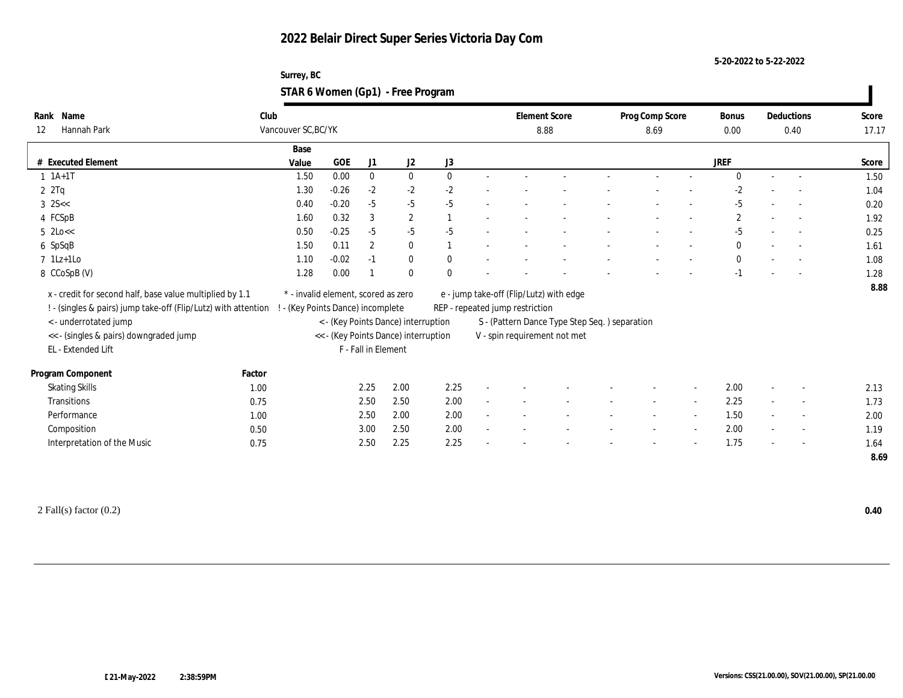**5-20-2022 to 5-22-2022**

| Surrey, BC                        |  |
|-----------------------------------|--|
| STAR 6 Women (Gp1) - Free Program |  |

| Name<br>Rank                                                   | Club   |                                     |         |                     |                                      |              |                                 | <b>Element Score</b>                          | Prog Comp Score |                | Bonus        |                          | Deductions               | Score |
|----------------------------------------------------------------|--------|-------------------------------------|---------|---------------------|--------------------------------------|--------------|---------------------------------|-----------------------------------------------|-----------------|----------------|--------------|--------------------------|--------------------------|-------|
| Hannah Park<br>12                                              |        | Vancouver SC, BC/YK                 |         |                     |                                      |              |                                 | 8.88                                          | 8.69            |                | 0.00         | 0.40                     |                          | 17.17 |
|                                                                |        | Base                                |         |                     |                                      |              |                                 |                                               |                 |                |              |                          |                          |       |
| # Executed Element                                             |        | Value                               | GOE     | J1                  | J2                                   | J3           |                                 |                                               |                 |                | JREF         |                          |                          | Score |
| $1$ $1A+1T$                                                    |        | 1.50                                | 0.00    | $\bf{0}$            | $\bf{0}$                             | $\mathbf{0}$ |                                 |                                               |                 |                | $\Omega$     | $\sim$                   |                          | 1.50  |
| 2Tq                                                            |        | 1.30                                | $-0.26$ | $-2$                | $-2$                                 | $-2$         |                                 |                                               |                 |                | $-2$         |                          |                          | 1.04  |
| $3 \, 25 <$                                                    |        | 0.40                                | $-0.20$ | $-5$                | $-5$                                 | $-5$         |                                 |                                               |                 |                | $-5$         |                          | $\overline{\phantom{a}}$ | 0.20  |
| 4 FCSpB                                                        |        | 1.60                                | 0.32    | 3                   | $\sqrt{2}$                           |              |                                 |                                               |                 |                | $\mathbf{2}$ |                          | $\sim$                   | 1.92  |
| $5$ 2Lo $<<$                                                   |        | 0.50                                | $-0.25$ | $-5$                | $-5$                                 | $-5$         |                                 |                                               |                 |                | $-5$         |                          | $\overline{\phantom{a}}$ | 0.25  |
| 6 SpSqB                                                        |        | 1.50                                | 0.11    | 2                   | $\bf{0}$                             |              |                                 |                                               |                 |                | $\mathbf{0}$ |                          |                          | 1.61  |
| $7$ 1Lz+1Lo                                                    |        | 1.10                                | $-0.02$ | $-1$                | $\bf{0}$                             | $\mathbf{0}$ |                                 |                                               |                 |                | $\mathbf{0}$ | $\sim$                   |                          | 1.08  |
| 8 CCoSpB (V)                                                   |        | 1.28                                | 0.00    |                     | $\mathbf{0}$                         | $\mathbf{0}$ |                                 |                                               |                 |                | $-1$         |                          |                          | 1.28  |
| x - credit for second half, base value multiplied by 1.1       |        | * - invalid element, scored as zero |         |                     |                                      |              |                                 | e - jump take-off (Flip/Lutz) with edge       |                 |                |              |                          |                          | 8.88  |
| ! - (singles & pairs) jump take-off (Flip/Lutz) with attention |        | ! - (Key Points Dance) incomplete   |         |                     |                                      |              | REP - repeated jump restriction |                                               |                 |                |              |                          |                          |       |
| <- underrotated jump                                           |        |                                     |         |                     | < - (Key Points Dance) interruption  |              |                                 | S - (Pattern Dance Type Step Seq.) separation |                 |                |              |                          |                          |       |
| << - (singles & pairs) downgraded jump                         |        |                                     |         |                     | << - (Key Points Dance) interruption |              |                                 | V - spin requirement not met                  |                 |                |              |                          |                          |       |
| EL - Extended Lift                                             |        |                                     |         | F - Fall in Element |                                      |              |                                 |                                               |                 |                |              |                          |                          |       |
|                                                                |        |                                     |         |                     |                                      |              |                                 |                                               |                 |                |              |                          |                          |       |
| Program Component                                              | Factor |                                     |         |                     |                                      |              |                                 |                                               |                 |                |              |                          |                          |       |
| <b>Skating Skills</b>                                          | 1.00   |                                     |         | 2.25                | 2.00                                 | 2.25         |                                 |                                               |                 |                | 2.00         |                          | $\sim$                   | 2.13  |
| Transitions                                                    | 0.75   |                                     |         | 2.50                | 2.50                                 | 2.00         |                                 |                                               |                 |                | 2.25         |                          | $\overline{a}$           | 1.73  |
| Performance                                                    | 1.00   |                                     |         | 2.50                | 2.00                                 | 2.00         |                                 |                                               |                 | $\overline{a}$ | 1.50         |                          | $\sim$                   | 2.00  |
| Composition                                                    | 0.50   |                                     |         | 3.00                | 2.50                                 | 2.00         |                                 |                                               |                 | $\sim$         | 2.00         | $\overline{\phantom{a}}$ | $\overline{\phantom{a}}$ | 1.19  |
| Interpretation of the Music                                    | 0.75   |                                     |         | 2.50                | 2.25                                 | 2.25         |                                 |                                               |                 |                | 1.75         | $\overline{\phantom{a}}$ | $\sim$                   | 1.64  |
|                                                                |        |                                     |         |                     |                                      |              |                                 |                                               |                 |                |              |                          |                          | 8.69  |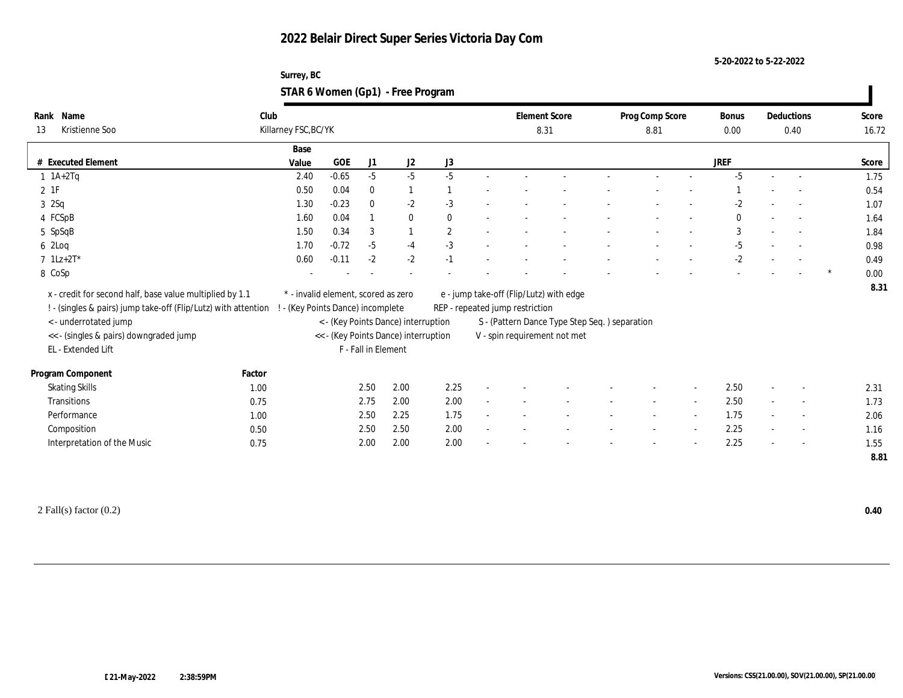**5-20-2022 to 5-22-2022**

| Surrey, BC                        |  |
|-----------------------------------|--|
| STAR 6 Women (Gp1) - Free Program |  |

| Name<br>Rank                                                   | Club   |                                     |         |                     |                                      |              |                                 | <b>Element Score</b>                          | Prog Comp Score | <b>Bonus</b> |                          | Deductions               | Score |
|----------------------------------------------------------------|--------|-------------------------------------|---------|---------------------|--------------------------------------|--------------|---------------------------------|-----------------------------------------------|-----------------|--------------|--------------------------|--------------------------|-------|
| Kristienne Soo<br>13                                           |        | Killarney FSC, BC/YK                |         |                     |                                      |              |                                 | 8.31                                          | 8.81            | 0.00         |                          | 0.40                     | 16.72 |
|                                                                |        | Base                                |         |                     |                                      |              |                                 |                                               |                 |              |                          |                          |       |
| # Executed Element                                             |        | Value                               | GOE     | J1                  | J2                                   | J3           |                                 |                                               |                 | <b>JREF</b>  |                          |                          | Score |
| $1$ $1A+2Tq$                                                   |        | 2.40                                | $-0.65$ | $-5$                | $-5$                                 | $-5$         |                                 |                                               |                 | $-5$         |                          |                          | 1.75  |
| 2 1F                                                           |        | 0.50                                | 0.04    | $\bf{0}$            |                                      |              |                                 |                                               |                 |              |                          |                          | 0.54  |
| 32Sq                                                           |        | 1.30                                | $-0.23$ | $\bf{0}$            | $-2$                                 | $-3$         |                                 |                                               |                 | $-2$         |                          |                          | 1.07  |
| 4 FCSpB                                                        |        | 1.60                                | 0.04    |                     | $\bf{0}$                             | $\bf{0}$     |                                 |                                               |                 | $\bf{0}$     |                          |                          | 1.64  |
| 5 SpSqB                                                        |        | 1.50                                | 0.34    | 3                   |                                      | $\mathbf{2}$ |                                 |                                               |                 | 3            |                          |                          | 1.84  |
| 6 2Loq                                                         |        | 1.70                                | $-0.72$ | $-5$                | $-4$                                 | $-3$         |                                 |                                               |                 | $-5$         |                          |                          | 0.98  |
| $7 \; 1Lz + 2T^*$                                              |        | 0.60                                | $-0.11$ | $-2$                | $-2$                                 | $-1$         |                                 |                                               |                 | $-2$         |                          |                          | 0.49  |
| 8 CoSp                                                         |        |                                     |         |                     |                                      |              |                                 |                                               |                 |              |                          |                          | 0.00  |
| x - credit for second half, base value multiplied by 1.1       |        | * - invalid element, scored as zero |         |                     |                                      |              |                                 | e - jump take-off (Flip/Lutz) with edge       |                 |              |                          |                          | 8.31  |
| ! - (singles & pairs) jump take-off (Flip/Lutz) with attention |        | - (Key Points Dance) incomplete     |         |                     |                                      |              | REP - repeated jump restriction |                                               |                 |              |                          |                          |       |
| <- underrotated jump                                           |        |                                     |         |                     |                                      |              |                                 | S - (Pattern Dance Type Step Seq.) separation |                 |              |                          |                          |       |
|                                                                |        |                                     |         |                     | < - (Key Points Dance) interruption  |              |                                 |                                               |                 |              |                          |                          |       |
| << - (singles & pairs) downgraded jump<br>EL - Extended Lift   |        |                                     |         | F - Fall in Element | << - (Key Points Dance) interruption |              |                                 | V - spin requirement not met                  |                 |              |                          |                          |       |
|                                                                |        |                                     |         |                     |                                      |              |                                 |                                               |                 |              |                          |                          |       |
| Program Component                                              | Factor |                                     |         |                     |                                      |              |                                 |                                               |                 |              |                          |                          |       |
| <b>Skating Skills</b>                                          | 1.00   |                                     |         | 2.50                | 2.00                                 | 2.25         |                                 |                                               |                 | 2.50         |                          |                          | 2.31  |
| <b>Transitions</b>                                             | 0.75   |                                     |         | 2.75                | 2.00                                 | 2.00         |                                 |                                               |                 | 2.50         | $\sim$                   | $\overline{\phantom{a}}$ | 1.73  |
| Performance                                                    | 1.00   |                                     |         | 2.50                | 2.25                                 | 1.75         |                                 |                                               |                 | 1.75         |                          | $\overline{a}$           | 2.06  |
| Composition                                                    | 0.50   |                                     |         | 2.50                | 2.50                                 | 2.00         |                                 |                                               |                 | 2.25         | $\sim$                   | $\sim$                   | 1.16  |
| Interpretation of the Music                                    | 0.75   |                                     |         | 2.00                | 2.00                                 | 2.00         |                                 |                                               |                 | 2.25         | $\overline{\phantom{a}}$ | $\sim$                   | 1.55  |
|                                                                |        |                                     |         |                     |                                      |              |                                 |                                               |                 |              |                          |                          | 8.81  |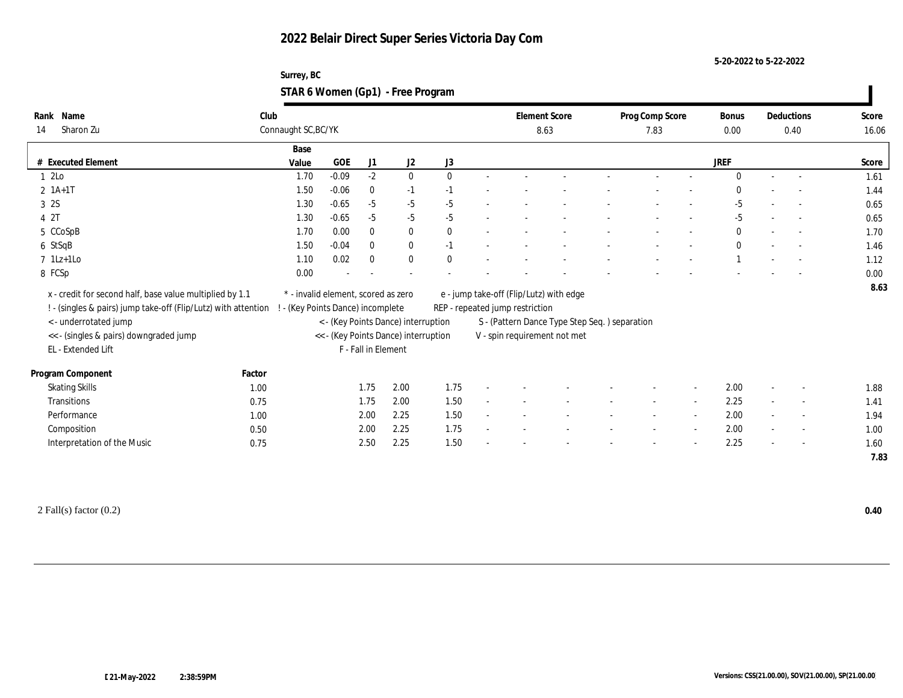**5-20-2022 to 5-22-2022**

| Surrey, BC                        |  |
|-----------------------------------|--|
| STAR 6 Women (Gp1) - Free Program |  |

| Name<br>Rank                                                   | Club   |                                     |         |                     |                                      |              |                                 | <b>Element Score</b>                          | Prog Comp Score | <b>Bonus</b> |                | Deductions               | Score |
|----------------------------------------------------------------|--------|-------------------------------------|---------|---------------------|--------------------------------------|--------------|---------------------------------|-----------------------------------------------|-----------------|--------------|----------------|--------------------------|-------|
| Sharon Zu<br>14                                                |        | Connaught SC, BC/YK                 |         |                     |                                      |              |                                 | 8.63                                          | 7.83            | 0.00         |                | 0.40                     | 16.06 |
|                                                                |        | Base                                |         |                     |                                      |              |                                 |                                               |                 |              |                |                          |       |
| # Executed Element                                             |        | Value                               | GOE     | J1                  | J2                                   | J3           |                                 |                                               |                 | <b>JREF</b>  |                |                          | Score |
| 1 2Lo                                                          |        | 1.70                                | $-0.09$ | $-2$                | $\bf{0}$                             | $\mathbf{0}$ |                                 |                                               |                 | $\Omega$     | $\sim$         |                          | 1.61  |
| $2 \; 1A+1T$                                                   |        | 1.50                                | $-0.06$ | $\mathbf{0}$        | $-1$                                 | $-1$         |                                 |                                               |                 |              |                |                          | 1.44  |
| 3 2S                                                           |        | 1.30                                | $-0.65$ | $-5$                | $-5$                                 | $-5$         |                                 |                                               |                 | $-5$         |                |                          | 0.65  |
| 4 2T                                                           |        | 1.30                                | $-0.65$ | $-5$                | $-5$                                 | $-5$         |                                 |                                               |                 | $-5$         | $\sim$         | $\sim$                   | 0.65  |
| 5 CCoSpB                                                       |        | 1.70                                | 0.00    | $\mathbf{0}$        | $\bf{0}$                             | $\mathbf{0}$ |                                 |                                               |                 | $\bf{0}$     |                | $\sim$                   | 1.70  |
| 6 StSqB                                                        |        | 1.50                                | $-0.04$ | $\mathbf{0}$        | $\bf{0}$                             | $-1$         |                                 |                                               |                 | $\bf{0}$     |                |                          | 1.46  |
| $7$ 1Lz+1Lo                                                    |        | 1.10                                | 0.02    | $\mathbf{0}$        | $\bf{0}$                             | $\theta$     |                                 |                                               |                 |              |                |                          | 1.12  |
| 8 FCSp                                                         |        | 0.00                                |         |                     |                                      |              |                                 |                                               |                 |              |                |                          | 0.00  |
| x - credit for second half, base value multiplied by 1.1       |        | * - invalid element, scored as zero |         |                     |                                      |              |                                 | e - jump take-off (Flip/Lutz) with edge       |                 |              |                |                          | 8.63  |
| ! - (singles & pairs) jump take-off (Flip/Lutz) with attention |        | - (Key Points Dance) incomplete     |         |                     |                                      |              | REP - repeated jump restriction |                                               |                 |              |                |                          |       |
| <- underrotated jump                                           |        |                                     |         |                     | < - (Key Points Dance) interruption  |              |                                 |                                               |                 |              |                |                          |       |
|                                                                |        |                                     |         |                     | << - (Key Points Dance) interruption |              |                                 | S - (Pattern Dance Type Step Seq.) separation |                 |              |                |                          |       |
| << - (singles & pairs) downgraded jump<br>EL - Extended Lift   |        |                                     |         | F - Fall in Element |                                      |              |                                 | V - spin requirement not met                  |                 |              |                |                          |       |
|                                                                |        |                                     |         |                     |                                      |              |                                 |                                               |                 |              |                |                          |       |
| Program Component                                              | Factor |                                     |         |                     |                                      |              |                                 |                                               |                 |              |                |                          |       |
| <b>Skating Skills</b>                                          | 1.00   |                                     |         | 1.75                | 2.00                                 | 1.75         |                                 |                                               |                 | 2.00         | $\overline{a}$ |                          | 1.88  |
| <b>Transitions</b>                                             | 0.75   |                                     |         | 1.75                | 2.00                                 | 1.50         |                                 |                                               |                 | 2.25         | $\sim$         | $\overline{a}$           | 1.41  |
| Performance                                                    | 1.00   |                                     |         | 2.00                | 2.25                                 | 1.50         |                                 |                                               |                 | 2.00         |                | $\overline{\phantom{a}}$ | 1.94  |
| Composition                                                    | 0.50   |                                     |         | 2.00                | 2.25                                 | 1.75         |                                 |                                               |                 | 2.00         | $\sim$         | $\sim$                   | 1.00  |
| Interpretation of the Music                                    | 0.75   |                                     |         | 2.50                | 2.25                                 | 1.50         |                                 |                                               |                 | 2.25         | $\sim$         | $\sim$                   | 1.60  |
|                                                                |        |                                     |         |                     |                                      |              |                                 |                                               |                 |              |                |                          | 7.83  |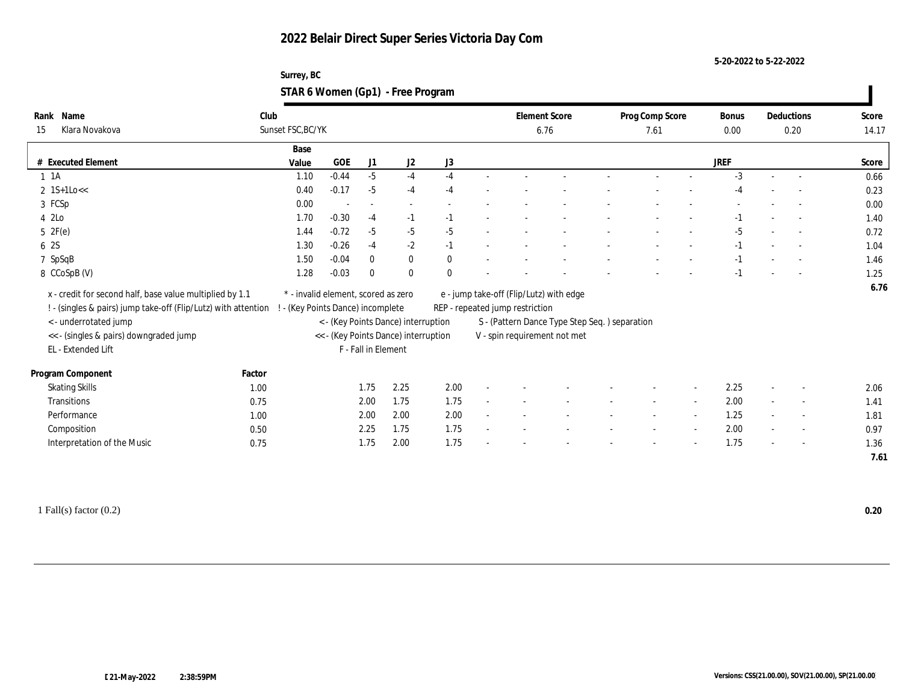**5-20-2022 to 5-22-2022**

| Surrey, BC                        |  |
|-----------------------------------|--|
| STAR 6 Women (Gp1) - Free Program |  |

| Rank Name                                                      | Club   |                                                                             |                                     |                          |          |              |                                                                                | <b>Element Score</b>                    |  | Prog Comp Score |                | Bonus |      | Deductions               | Score |
|----------------------------------------------------------------|--------|-----------------------------------------------------------------------------|-------------------------------------|--------------------------|----------|--------------|--------------------------------------------------------------------------------|-----------------------------------------|--|-----------------|----------------|-------|------|--------------------------|-------|
| Klara Novakova<br>15                                           |        | Sunset FSC, BC/YK                                                           |                                     |                          |          |              | 6.76                                                                           |                                         |  | 7.61            |                |       | 0.20 |                          | 14.17 |
|                                                                |        | Base                                                                        |                                     |                          |          |              |                                                                                |                                         |  |                 |                |       |      |                          |       |
| # Executed Element                                             |        | Value                                                                       | <b>GOE</b>                          | J1                       | J2       | J3           |                                                                                |                                         |  |                 |                | JREF  |      |                          | Score |
| $1 \t1A$                                                       |        | 1.10                                                                        | $-0.44$                             | $-5$                     | $-4$     | $-4$         |                                                                                |                                         |  |                 |                | $-3$  |      |                          | 0.66  |
| $2 \text{ 1S+1Lo<<}$                                           |        | 0.40                                                                        | $-0.17$                             | $-5$                     | $-4$     | $-4$         |                                                                                |                                         |  |                 |                | -4    |      |                          | 0.23  |
| 3 FCSp                                                         |        | 0.00                                                                        |                                     | $\overline{\phantom{a}}$ |          |              |                                                                                |                                         |  |                 |                |       |      |                          | 0.00  |
| 4 2Lo                                                          |        | 1.70                                                                        | $-0.30$                             | $-4$                     | $-1$     | $-1$         |                                                                                |                                         |  |                 |                | $-1$  |      | $\sim$                   | 1.40  |
| 5 2F(e)                                                        |        | 1.44                                                                        | $-0.72$                             | $-5$                     | $-5$     | $-5$         |                                                                                |                                         |  |                 |                | -5    |      |                          | 0.72  |
| 6 2S                                                           |        | 1.30                                                                        | $-0.26$                             | $-4$                     | $-2$     | $-1$         |                                                                                |                                         |  |                 |                | $-1$  |      |                          | 1.04  |
| 7 SpSqB                                                        |        | 1.50                                                                        | $-0.04$                             | $\mathbf{0}$             | $\bf{0}$ | $\mathbf{0}$ |                                                                                |                                         |  |                 |                | $-1$  |      |                          | 1.46  |
| 8 CCoSpB (V)                                                   |        | 1.28                                                                        | $-0.03$                             | $\mathbf{0}$             | $\bf{0}$ | $\mathbf{0}$ |                                                                                |                                         |  |                 |                | $-1$  |      |                          | 1.25  |
| x - credit for second half, base value multiplied by 1.1       |        |                                                                             | * - invalid element, scored as zero |                          |          |              |                                                                                | e - jump take-off (Flip/Lutz) with edge |  |                 |                |       |      |                          | 6.76  |
| ! - (singles & pairs) jump take-off (Flip/Lutz) with attention |        | ! - (Key Points Dance) incomplete                                           |                                     |                          |          |              | REP - repeated jump restriction                                                |                                         |  |                 |                |       |      |                          |       |
| <- underrotated jump                                           |        |                                                                             |                                     |                          |          |              |                                                                                |                                         |  |                 |                |       |      |                          |       |
| << - (singles & pairs) downgraded jump                         |        | < - (Key Points Dance) interruption<br><< - (Key Points Dance) interruption |                                     |                          |          |              | S - (Pattern Dance Type Step Seq. ) separation<br>V - spin requirement not met |                                         |  |                 |                |       |      |                          |       |
| EL - Extended Lift                                             |        |                                                                             |                                     | F - Fall in Element      |          |              |                                                                                |                                         |  |                 |                |       |      |                          |       |
|                                                                |        |                                                                             |                                     |                          |          |              |                                                                                |                                         |  |                 |                |       |      |                          |       |
| Program Component                                              | Factor |                                                                             |                                     |                          |          |              |                                                                                |                                         |  |                 |                |       |      |                          |       |
| <b>Skating Skills</b>                                          | 1.00   |                                                                             |                                     | 1.75                     | 2.25     | 2.00         |                                                                                |                                         |  |                 |                | 2.25  |      |                          | 2.06  |
| <b>Transitions</b>                                             | 0.75   |                                                                             |                                     | 2.00                     | 1.75     | 1.75         |                                                                                |                                         |  |                 | $\overline{a}$ | 2.00  |      | $\overline{\phantom{a}}$ | 1.41  |
| Performance                                                    | 1.00   |                                                                             |                                     | 2.00                     | 2.00     | 2.00         |                                                                                |                                         |  |                 |                | 1.25  |      | $\overline{\phantom{a}}$ | 1.81  |
| Composition                                                    | 0.50   |                                                                             |                                     | 2.25                     | 1.75     | 1.75         |                                                                                |                                         |  |                 |                | 2.00  |      | $\sim$                   | 0.97  |
| Interpretation of the Music                                    | 0.75   |                                                                             |                                     | 1.75                     | 2.00     | 1.75         |                                                                                |                                         |  |                 |                | 1.75  |      | $\overline{\phantom{a}}$ | 1.36  |
|                                                                |        |                                                                             |                                     |                          |          |              |                                                                                |                                         |  |                 |                |       |      |                          | 7.61  |